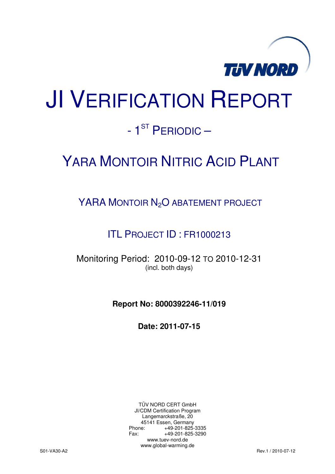

# JI VERIFICATION REPORT

# - 1<sup>ST</sup> PERIODIC –

# YARA MONTOIR NITRIC ACID PLANT

YARA MONTOIR N<sub>2</sub>O ABATEMENT PROJECT

ITL PROJECT ID : FR1000213

Monitoring Period: 2010-09-12 TO 2010-12-31 (incl. both days)

**Report No: 8000392246-11/019** 

**Date: 2011-07-15** 

TÜV NORD CERT GmbH JI/CDM Certification Program Langemarckstraße, 20 45141 Essen, Germany<br>+49-201-825-49 +49-201-825-3335 Fax: +49-201-825-3290 www.tuev-nord.de www.global-warming.de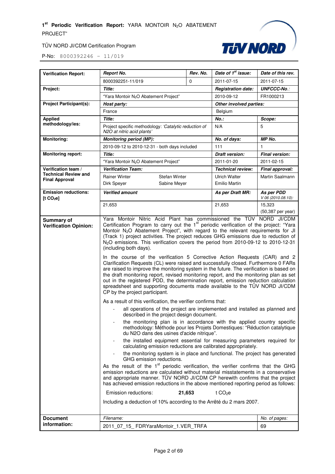

| <b>Verification Report:</b>                          | <b>Report No.</b>                                                                                                                                                                                                                                                                                                                                                                                                                                                                                                                                                                                                                                                                                                                                                                                                                                                                                                                                                                                                                                                                                                                                                                                                                                                                                                                                                                                                                                                                                                                                                                                                                                                                                                                                                                                                                                                                                                                                                                                                                                                                                                                                                                                           | Rev. No. | Date of 1 <sup>st</sup> issue: | Date of this rev.                |  |
|------------------------------------------------------|-------------------------------------------------------------------------------------------------------------------------------------------------------------------------------------------------------------------------------------------------------------------------------------------------------------------------------------------------------------------------------------------------------------------------------------------------------------------------------------------------------------------------------------------------------------------------------------------------------------------------------------------------------------------------------------------------------------------------------------------------------------------------------------------------------------------------------------------------------------------------------------------------------------------------------------------------------------------------------------------------------------------------------------------------------------------------------------------------------------------------------------------------------------------------------------------------------------------------------------------------------------------------------------------------------------------------------------------------------------------------------------------------------------------------------------------------------------------------------------------------------------------------------------------------------------------------------------------------------------------------------------------------------------------------------------------------------------------------------------------------------------------------------------------------------------------------------------------------------------------------------------------------------------------------------------------------------------------------------------------------------------------------------------------------------------------------------------------------------------------------------------------------------------------------------------------------------------|----------|--------------------------------|----------------------------------|--|
|                                                      | 8000392251-11/019                                                                                                                                                                                                                                                                                                                                                                                                                                                                                                                                                                                                                                                                                                                                                                                                                                                                                                                                                                                                                                                                                                                                                                                                                                                                                                                                                                                                                                                                                                                                                                                                                                                                                                                                                                                                                                                                                                                                                                                                                                                                                                                                                                                           | $\Omega$ | 2011-07-15                     | 2011-07-15                       |  |
| Project:                                             | Title:                                                                                                                                                                                                                                                                                                                                                                                                                                                                                                                                                                                                                                                                                                                                                                                                                                                                                                                                                                                                                                                                                                                                                                                                                                                                                                                                                                                                                                                                                                                                                                                                                                                                                                                                                                                                                                                                                                                                                                                                                                                                                                                                                                                                      |          | <b>Registration date:</b>      | <b>UNFCCC-No.:</b>               |  |
|                                                      | "Yara Montoir N <sub>2</sub> O Abatement Project"<br>2010-09-12                                                                                                                                                                                                                                                                                                                                                                                                                                                                                                                                                                                                                                                                                                                                                                                                                                                                                                                                                                                                                                                                                                                                                                                                                                                                                                                                                                                                                                                                                                                                                                                                                                                                                                                                                                                                                                                                                                                                                                                                                                                                                                                                             |          |                                | FR1000213                        |  |
| <b>Project Participant(s):</b>                       | Other involved parties:<br>Host party:                                                                                                                                                                                                                                                                                                                                                                                                                                                                                                                                                                                                                                                                                                                                                                                                                                                                                                                                                                                                                                                                                                                                                                                                                                                                                                                                                                                                                                                                                                                                                                                                                                                                                                                                                                                                                                                                                                                                                                                                                                                                                                                                                                      |          |                                |                                  |  |
|                                                      | France                                                                                                                                                                                                                                                                                                                                                                                                                                                                                                                                                                                                                                                                                                                                                                                                                                                                                                                                                                                                                                                                                                                                                                                                                                                                                                                                                                                                                                                                                                                                                                                                                                                                                                                                                                                                                                                                                                                                                                                                                                                                                                                                                                                                      |          | Belgium                        |                                  |  |
| <b>Applied</b>                                       | Title:                                                                                                                                                                                                                                                                                                                                                                                                                                                                                                                                                                                                                                                                                                                                                                                                                                                                                                                                                                                                                                                                                                                                                                                                                                                                                                                                                                                                                                                                                                                                                                                                                                                                                                                                                                                                                                                                                                                                                                                                                                                                                                                                                                                                      |          | $No.$ :                        | Scope:                           |  |
| methodology/ies:                                     | Project specific methodology: 'Catalytic reduction of<br>N2O at nitric acid plants'                                                                                                                                                                                                                                                                                                                                                                                                                                                                                                                                                                                                                                                                                                                                                                                                                                                                                                                                                                                                                                                                                                                                                                                                                                                                                                                                                                                                                                                                                                                                                                                                                                                                                                                                                                                                                                                                                                                                                                                                                                                                                                                         |          | N/A                            | 5                                |  |
| <b>Monitoring:</b>                                   | <b>Monitoring period (MP):</b>                                                                                                                                                                                                                                                                                                                                                                                                                                                                                                                                                                                                                                                                                                                                                                                                                                                                                                                                                                                                                                                                                                                                                                                                                                                                                                                                                                                                                                                                                                                                                                                                                                                                                                                                                                                                                                                                                                                                                                                                                                                                                                                                                                              |          | No. of days:                   | <b>MP No.</b>                    |  |
|                                                      | 2010-09-12 to 2010-12-31 - both days included                                                                                                                                                                                                                                                                                                                                                                                                                                                                                                                                                                                                                                                                                                                                                                                                                                                                                                                                                                                                                                                                                                                                                                                                                                                                                                                                                                                                                                                                                                                                                                                                                                                                                                                                                                                                                                                                                                                                                                                                                                                                                                                                                               |          | 111                            | 1                                |  |
| <b>Monitoring report:</b>                            | Title:                                                                                                                                                                                                                                                                                                                                                                                                                                                                                                                                                                                                                                                                                                                                                                                                                                                                                                                                                                                                                                                                                                                                                                                                                                                                                                                                                                                                                                                                                                                                                                                                                                                                                                                                                                                                                                                                                                                                                                                                                                                                                                                                                                                                      |          | Draft version:                 | <b>Final version:</b>            |  |
|                                                      | "Yara Montoir N <sub>2</sub> O Abatement Project"                                                                                                                                                                                                                                                                                                                                                                                                                                                                                                                                                                                                                                                                                                                                                                                                                                                                                                                                                                                                                                                                                                                                                                                                                                                                                                                                                                                                                                                                                                                                                                                                                                                                                                                                                                                                                                                                                                                                                                                                                                                                                                                                                           |          | 2011-01-20                     | 2011-02-15                       |  |
| Verification team /                                  | <b>Verification Team:</b>                                                                                                                                                                                                                                                                                                                                                                                                                                                                                                                                                                                                                                                                                                                                                                                                                                                                                                                                                                                                                                                                                                                                                                                                                                                                                                                                                                                                                                                                                                                                                                                                                                                                                                                                                                                                                                                                                                                                                                                                                                                                                                                                                                                   |          | <b>Technical review:</b>       | Final approval:                  |  |
| <b>Technical Review and</b><br><b>Final Approval</b> | <b>Rainer Winter</b><br>Stefan Winter                                                                                                                                                                                                                                                                                                                                                                                                                                                                                                                                                                                                                                                                                                                                                                                                                                                                                                                                                                                                                                                                                                                                                                                                                                                                                                                                                                                                                                                                                                                                                                                                                                                                                                                                                                                                                                                                                                                                                                                                                                                                                                                                                                       |          | Ulrich Walter                  | Martin Saalmann                  |  |
|                                                      | Dirk Speyer<br>Sabine Meyer                                                                                                                                                                                                                                                                                                                                                                                                                                                                                                                                                                                                                                                                                                                                                                                                                                                                                                                                                                                                                                                                                                                                                                                                                                                                                                                                                                                                                                                                                                                                                                                                                                                                                                                                                                                                                                                                                                                                                                                                                                                                                                                                                                                 |          | <b>Emilio Martin</b>           |                                  |  |
| <b>Emission reductions:</b><br>[t CO <sub>2</sub> e] | <b>Verified amount</b>                                                                                                                                                                                                                                                                                                                                                                                                                                                                                                                                                                                                                                                                                                                                                                                                                                                                                                                                                                                                                                                                                                                                                                                                                                                                                                                                                                                                                                                                                                                                                                                                                                                                                                                                                                                                                                                                                                                                                                                                                                                                                                                                                                                      |          | As per Draft MR:               | As per PDD<br>V 06 (2010.08.10): |  |
|                                                      | 21,653                                                                                                                                                                                                                                                                                                                                                                                                                                                                                                                                                                                                                                                                                                                                                                                                                                                                                                                                                                                                                                                                                                                                                                                                                                                                                                                                                                                                                                                                                                                                                                                                                                                                                                                                                                                                                                                                                                                                                                                                                                                                                                                                                                                                      |          | 21,653                         | 15,323                           |  |
|                                                      |                                                                                                                                                                                                                                                                                                                                                                                                                                                                                                                                                                                                                                                                                                                                                                                                                                                                                                                                                                                                                                                                                                                                                                                                                                                                                                                                                                                                                                                                                                                                                                                                                                                                                                                                                                                                                                                                                                                                                                                                                                                                                                                                                                                                             |          |                                | (50,387 per year)                |  |
| <b>Verification Opinion:</b>                         | Yara Montoir Nitric Acid Plant has commissioned the TÜV NORD JI/CDM<br>Certification Program to carry out the 1 <sup>st</sup> periodic verification of the project: "Yara<br>Montoir N <sub>2</sub> O Abatement Project", with regard to the relevant requirements for JI<br>(Track 1) project activities. The project reduces GHG emissions due to reduction of<br>N <sub>2</sub> O emissions. This verification covers the period from 2010-09-12 to 2010-12-31<br>(including both days).<br>In the course of the verification 5 Corrective Action Requests (CAR) and 2<br>Clarification Requests (CL) were raised and successfully closed. Furthermore 0 FARs<br>are raised to improve the monitoring system in the future. The verification is based on<br>the draft monitoring report, revised monitoring report, and the monitoring plan as set<br>out in the registered PDD, the determination report, emission reduction calculation<br>spreadsheet and supporting documents made available to the TÜV NORD JI/CDM<br>CP by the project participant.<br>As a result of this verification, the verifier confirms that:<br>all operations of the project are implemented and installed as planned and<br>described in the project design document.<br>the monitoring plan is in accordance with the applied country specific<br>methodology: Méthode pour les Projets Domestiques: "Réduction catalytique<br>du N2O dans des usines d'acide nitrique".<br>the installed equipment essential for measuring parameters required for<br>calculating emission reductions are calibrated appropriately.<br>the monitoring system is in place and functional. The project has generated<br>GHG emission reductions.<br>As the result of the 1 <sup>st</sup> periodic verification, the verifier confirms that the GHG<br>emission reductions are calculated without material misstatements in a conservative<br>and appropriate manner. TÜV NORD JI/CDM CP herewith confirms that the project<br>has achieved emission reductions in the above mentioned reporting period as follows:<br>Emission reductions:<br>21,653<br>t $CO2e$<br>Including a deduction of 10% according to the Arrêté du 2 mars 2007. |          |                                |                                  |  |
| <b>Document</b>                                      | Filename:                                                                                                                                                                                                                                                                                                                                                                                                                                                                                                                                                                                                                                                                                                                                                                                                                                                                                                                                                                                                                                                                                                                                                                                                                                                                                                                                                                                                                                                                                                                                                                                                                                                                                                                                                                                                                                                                                                                                                                                                                                                                                                                                                                                                   |          |                                | No. of pages:                    |  |
| information:                                         | 2011 07 15 FDRYaraMontoir 1.VER TRFA                                                                                                                                                                                                                                                                                                                                                                                                                                                                                                                                                                                                                                                                                                                                                                                                                                                                                                                                                                                                                                                                                                                                                                                                                                                                                                                                                                                                                                                                                                                                                                                                                                                                                                                                                                                                                                                                                                                                                                                                                                                                                                                                                                        |          |                                | 69                               |  |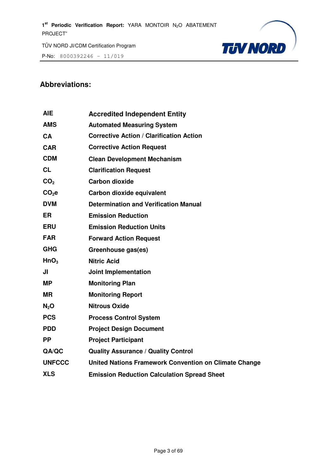P-No: 8000392246 – 11/019



# **Abbreviations:**

| AIE               | <b>Accredited Independent Entity</b>                         |
|-------------------|--------------------------------------------------------------|
| <b>AMS</b>        | <b>Automated Measuring System</b>                            |
| CA                | <b>Corrective Action / Clarification Action</b>              |
| <b>CAR</b>        | <b>Corrective Action Request</b>                             |
| <b>CDM</b>        | <b>Clean Development Mechanism</b>                           |
| <b>CL</b>         | <b>Clarification Request</b>                                 |
| CO <sub>2</sub>   | <b>Carbon dioxide</b>                                        |
| CO <sub>2</sub> e | Carbon dioxide equivalent                                    |
| <b>DVM</b>        | <b>Determination and Verification Manual</b>                 |
| <b>ER</b>         | <b>Emission Reduction</b>                                    |
| <b>ERU</b>        | <b>Emission Reduction Units</b>                              |
| <b>FAR</b>        | <b>Forward Action Request</b>                                |
| <b>GHG</b>        | Greenhouse gas(es)                                           |
| HnO <sub>3</sub>  | <b>Nitric Acid</b>                                           |
| JI                | <b>Joint Implementation</b>                                  |
| <b>MP</b>         | <b>Monitoring Plan</b>                                       |
| <b>MR</b>         | <b>Monitoring Report</b>                                     |
| $N_2$ O           | <b>Nitrous Oxide</b>                                         |
| <b>PCS</b>        | <b>Process Control System</b>                                |
| <b>PDD</b>        | <b>Project Design Document</b>                               |
| <b>PP</b>         | <b>Project Participant</b>                                   |
| QA/QC             | <b>Quality Assurance / Quality Control</b>                   |
| <b>UNFCCC</b>     | <b>United Nations Framework Convention on Climate Change</b> |
| <b>XLS</b>        | <b>Emission Reduction Calculation Spread Sheet</b>           |
|                   |                                                              |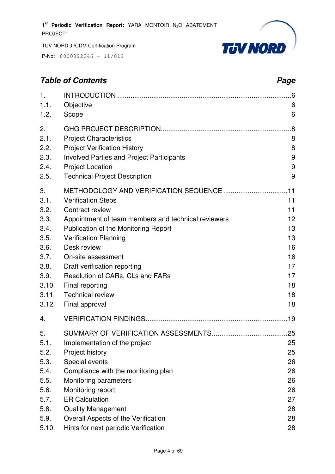P-No: 8000392246 – 11/019



# **Table of Contents Page 2014**

| 1.<br>1.1.<br>1.2. | Objective<br>Scope                                  | 6<br>6 |
|--------------------|-----------------------------------------------------|--------|
| 2.                 |                                                     | .8     |
| 2.1.               | <b>Project Characteristics</b>                      | 8      |
| 2.2.               | <b>Project Verification History</b>                 | 8      |
| 2.3.               | <b>Involved Parties and Project Participants</b>    | 9      |
| 2.4.               | <b>Project Location</b>                             | 9      |
| 2.5.               | <b>Technical Project Description</b>                | 9      |
| 3.                 |                                                     |        |
| 3.1.               | <b>Verification Steps</b>                           | 11     |
| 3.2.               | Contract review                                     | 11     |
| 3.3.               | Appointment of team members and technical reviewers | 12     |
| 3.4.               | Publication of the Monitoring Report                | 13     |
| 3.5.               | <b>Verification Planning</b>                        | 13     |
| 3.6.               | Desk review                                         | 16     |
| 3.7.               | On-site assessment                                  | 16     |
| 3.8.               | Draft verification reporting                        | 17     |
| 3.9.               | Resolution of CARs, CLs and FARs                    | 17     |
| 3.10.              | Final reporting                                     | 18     |
| 3.11.              | <b>Technical review</b>                             | 18     |
| 3.12.              | Final approval                                      | 18     |
| 4.                 |                                                     |        |
| 5.                 |                                                     |        |
| 5.1.               | Implementation of the project                       | 25     |
| 5.2.               | Project history                                     | 25     |
| 5.3.               | Special events                                      | 26     |
| 5.4.               | Compliance with the monitoring plan                 | 26     |
| 5.5.               | Monitoring parameters                               | 26     |
| 5.6.               | Monitoring report                                   | 26     |
| 5.7.               | <b>ER Calculation</b>                               | 27     |
| 5.8.               | <b>Quality Management</b>                           | 28     |
| 5.9.               | Overall Aspects of the Verification                 | 28     |
| 5.10.              | Hints for next periodic Verification                | 28     |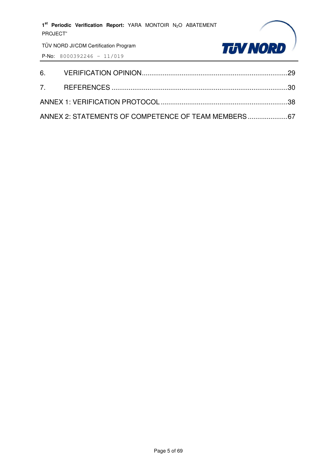

| ANNEX 2: STATEMENTS OF COMPETENCE OF TEAM MEMBERS67 |  |
|-----------------------------------------------------|--|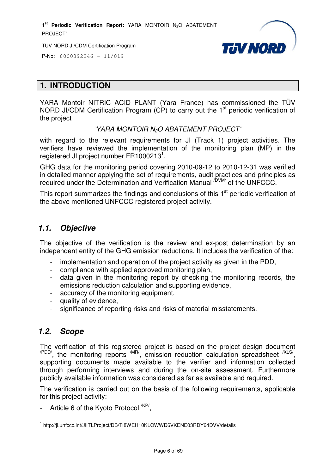1<sup>st</sup> Periodic Verification Report: YARA MONTOIR N<sub>2</sub>O ABATEMENT PROJECT"

TÜV NORD JI/CDM Certification Program



P-No: 8000392246 – 11/019

# **1. INTRODUCTION**

YARA Montoir NITRIC ACID PLANT (Yara France) has commissioned the TÜV NORD JI/CDM Certification Program (CP) to carry out the 1<sup>st</sup> periodic verification of the project

#### "YARA MONTOIR N2O ABATEMENT PROJECT"

with regard to the relevant requirements for JI (Track 1) project activities. The verifiers have reviewed the implementation of the monitoring plan (MP) in the registered JI project number FR1000213<sup>1</sup>.

GHG data for the monitoring period covering 2010-09-12 to 2010-12-31 was verified in detailed manner applying the set of requirements, audit practices and principles as required under the Determination and Verification Manual <sup>/DVM/</sup> of the UNFCCC.

This report summarizes the findings and conclusions of this 1<sup>st</sup> periodic verification of the above mentioned UNFCCC registered project activity.

# **1.1. Objective**

The objective of the verification is the review and ex-post determination by an independent entity of the GHG emission reductions. It includes the verification of the:

- implementation and operation of the project activity as given in the PDD,
- compliance with applied approved monitoring plan,
- data given in the monitoring report by checking the monitoring records, the emissions reduction calculation and supporting evidence,
- accuracy of the monitoring equipment,
- quality of evidence,
- significance of reporting risks and risks of material misstatements.

## **1.2. Scope**

The verification of this registered project is based on the project design document  $\alpha$ <sup>PDD/</sup>, the monitoring reports  $\alpha$ <sup>MR/</sup>, emission reduction calculation spreadsheet  $\alpha$ <sup>XLS/</sup>, supporting documents made available to the verifier and information collected through performing interviews and during the on-site assessment. Furthermore publicly available information was considered as far as available and required.

The verification is carried out on the basis of the following requirements, applicable for this project activity:

- Article 6 of the Kyoto Protocol <sup>/KP/</sup>,

l <sup>1</sup> http://ji.unfccc.int/JIITLProject/DB/TI8WEH10KLOWWD6VKENE03RDY64DVV/details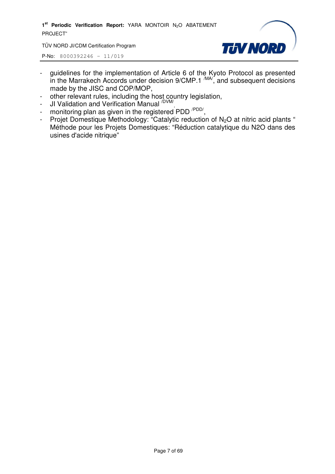1<sup>st</sup> Periodic Verification Report: YARA MONTOIR N<sub>2</sub>O ABATEMENT PROJECT"

TÜV NORD JI/CDM Certification Program



- guidelines for the implementation of Article 6 of the Kyoto Protocol as presented in the Marrakech Accords under decision  $9/CMP.1 \frac{MAV}{M}$ , and subsequent decisions made by the JISC and COP/MOP,
- other relevant rules, including the host country legislation,
- JI Validation and Verification Manual <sup>/DVM/</sup>,
- monitoring plan as given in the registered PDD<sup>/PDD/</sup>,
- Projet Domestique Methodology: "Catalytic reduction of  $N_2O$  at nitric acid plants " Méthode pour les Projets Domestiques: "Réduction catalytique du N2O dans des usines d'acide nitrique"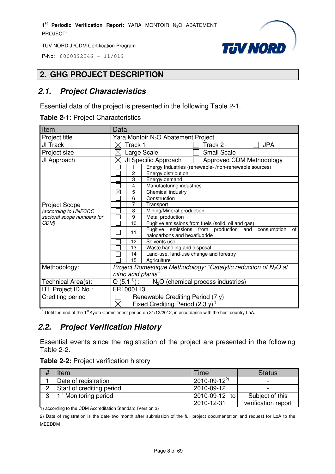P-No: 8000392246 – 11/019



# **2. GHG PROJECT DESCRIPTION**

# **2.1. Project Characteristics**

Essential data of the project is presented in the following Table 2-1.

**Table 2-1:** Project Characteristics

| Item                       | Data                                                                                              |  |  |  |
|----------------------------|---------------------------------------------------------------------------------------------------|--|--|--|
| Project title              | Yara Montoir N <sub>2</sub> O Abatement Project                                                   |  |  |  |
| JI Track                   | Track 1<br><b>JPA</b><br>Track 2<br>$\times$                                                      |  |  |  |
| Project size               | <b>Small Scale</b><br>Large Scale                                                                 |  |  |  |
| JI Approach                | JI Specific Approach<br>$\boxtimes$<br>Approved CDM Methodology                                   |  |  |  |
|                            | Energy Industries (renewable-/non-renewable sources)                                              |  |  |  |
|                            | $\overline{c}$<br>Energy distribution                                                             |  |  |  |
|                            | 3<br>Energy demand                                                                                |  |  |  |
|                            | 4<br>Manufacturing industries                                                                     |  |  |  |
|                            | ⊠<br>5<br>Chemical industry                                                                       |  |  |  |
|                            | 6<br>Construction                                                                                 |  |  |  |
| <b>Project Scope</b>       | 7<br>Transport                                                                                    |  |  |  |
| (according to UNFCCC       | Mining/Mineral production<br>8                                                                    |  |  |  |
| sectoral scope numbers for | 9<br>Metal production                                                                             |  |  |  |
| CDM)                       | Fugitive emissions from fuels (solid, oil and gas)<br>10                                          |  |  |  |
|                            | Fugitive emissions from production and<br>of<br>consumption<br>11<br>halocarbons and hexafluoride |  |  |  |
|                            | 12<br>Solvents use                                                                                |  |  |  |
|                            | Waste handling and disposal<br>13                                                                 |  |  |  |
|                            | Land-use, land-use change and forestry<br>14                                                      |  |  |  |
|                            | 15<br>Agriculture                                                                                 |  |  |  |
| Methodology:               | Project Domestique Methodology: "Catalytic reduction of $N_2O$ at                                 |  |  |  |
|                            | nitric acid plants"                                                                               |  |  |  |
| Technical Area(s):         | Q $(5.1^{\frac{1}{2}})^{\frac{1}{2}}$<br>$N2O$ (chemical process industries)                      |  |  |  |
| ITL Project ID No.:        | FR1000113                                                                                         |  |  |  |
| Crediting period           | Renewable Crediting Period (7 y)                                                                  |  |  |  |
|                            | $\boxtimes$<br>Fixed Crediting Period $(2.3 y)^{1/2}$                                             |  |  |  |

\*) Until the end of the 1<sup>st</sup> Kyoto Commitment period on 31/12/2012, in accordance with the host country LoA.

# **2.2. Project Verification History**

Essential events since the registration of the project are presented in the following Table 2-2.

| <b>Table 2-2: Project verification history</b> |  |  |
|------------------------------------------------|--|--|
|------------------------------------------------|--|--|

| # | Item                              | Time                  | <b>Status</b>       |
|---|-----------------------------------|-----------------------|---------------------|
|   | Date of registration              | $12010 - 09 - 12^{2}$ |                     |
|   | Start of crediting period         | 2010-09-12            |                     |
| n | 1 <sup>st</sup> Monitoring period | 2010-09-12 to         | Subject of this     |
|   |                                   | 2010-12-31            | verification report |

1) according to the CDM Accreditation Standard (Version 3)

2) Date of registration is the date two month after submission of the full project documentation and request for LoA to the MEEDDM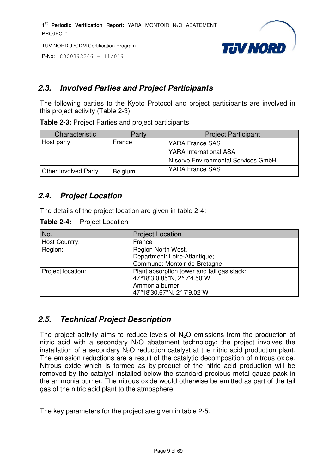P-No: 8000392246 – 11/019



# **2.3. Involved Parties and Project Participants**

The following parties to the Kyoto Protocol and project participants are involved in this project activity (Table 2-3).

**Table 2-3:** Project Parties and project participants

| <b>Characteristic</b>       | Party          | <b>Project Participant</b>          |
|-----------------------------|----------------|-------------------------------------|
| Host party                  | France         | YARA France SAS                     |
|                             |                | <b>YARA International ASA</b>       |
|                             |                | N.serve Environmental Services GmbH |
| <b>Other Involved Party</b> | <b>Belgium</b> | <b>YARA France SAS</b>              |

# **2.4. Project Location**

The details of the project location are given in table 2-4:

| No.               | <b>Project Location</b>                    |  |
|-------------------|--------------------------------------------|--|
| Host Country:     | France                                     |  |
| Region:           | Region North West,                         |  |
|                   | Department: Loire-Atlantique;              |  |
|                   | Commune: Montoir-de-Bretagne               |  |
| Project location: | Plant absorption tower and tail gas stack: |  |
|                   | 47°18'3 0.85"N, 2°7'4.50"W                 |  |
|                   | Ammonia burner:                            |  |
|                   | 47°18'30.67"N, 2°7'9.02"W                  |  |

# **2.5. Technical Project Description**

The project activity aims to reduce levels of  $N<sub>2</sub>O$  emissions from the production of nitric acid with a secondary  $N_2O$  abatement technology: the project involves the installation of a secondary  $N_2O$  reduction catalyst at the nitric acid production plant. The emission reductions are a result of the catalytic decomposition of nitrous oxide. Nitrous oxide which is formed as by-product of the nitric acid production will be removed by the catalyst installed below the standard precious metal gauze pack in the ammonia burner. The nitrous oxide would otherwise be emitted as part of the tail gas of the nitric acid plant to the atmosphere.

The key parameters for the project are given in table 2-5: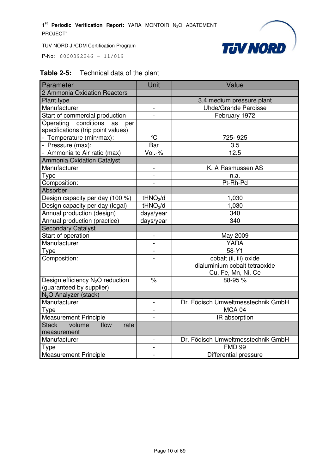P-No: 8000392246 – 11/019



# **Table 2-5:** Technical data of the plant

| Parameter                                             | Unit                     | Value                              |
|-------------------------------------------------------|--------------------------|------------------------------------|
| 2 Ammonia Oxidation Reactors                          |                          |                                    |
| Plant type                                            |                          | 3.4 medium pressure plant          |
| Manufacturer                                          | $\blacksquare$           | <b>Uhde/Grande Paroisse</b>        |
| Start of commercial production                        |                          | February 1972                      |
| Operating conditions<br>as<br>per                     |                          |                                    |
| specifications (trip point values)                    |                          |                                    |
| - Temperature (min/max):                              | $\overline{\mathbb{C}}$  | 725-925                            |
| - Pressure (max):                                     | Bar                      | 3.5                                |
| - Ammonia to Air ratio (max)                          | Vol.-%                   | 12.5                               |
| <b>Ammonia Oxidation Catalyst</b>                     |                          |                                    |
| Manufacturer                                          | $\blacksquare$           | K. A Rasmussen AS                  |
| Type                                                  |                          | n.a.                               |
| Composition:                                          | $\overline{a}$           | Pt-Rh-Pd                           |
| Absorber                                              |                          |                                    |
| Design capacity per day (100 %)                       | tHNO <sub>3</sub> /d     | 1,030                              |
| Design capacity per day (legal)                       | tHNO <sub>3</sub> /d     | 1,030                              |
| Annual production (design)                            | days/year                | 340                                |
| Annual production (practice)                          | days/year                | 340                                |
| <b>Secondary Catalyst</b>                             |                          |                                    |
| Start of operation                                    | $\qquad \qquad -$        | May 2009                           |
| Manufacturer                                          |                          | <b>YARA</b>                        |
| Type                                                  | $\overline{\phantom{0}}$ | $58-Y1$                            |
| Composition:                                          |                          | cobalt (ii, iii) oxide             |
|                                                       |                          | dialuminium cobalt tetraoxide      |
|                                                       |                          | Cu, Fe, Mn, Ni, Ce                 |
| Design efficiency N <sub>2</sub> O reduction          | $\frac{1}{6}$            | 88-95 %                            |
| (guaranteed by supplier)                              |                          |                                    |
| N <sub>2</sub> O Analyzer (stack)                     |                          |                                    |
| Manufacturer                                          | $\blacksquare$           | Dr. Födisch Umweltmesstechnik GmbH |
| Type                                                  |                          | <b>MCA 04</b>                      |
| <b>Measurement Principle</b>                          |                          | IR absorption                      |
| <b>Stack</b><br>volume<br>flow<br>rate<br>measurement |                          |                                    |
| Manufacturer                                          | $\blacksquare$           | Dr. Födisch Umweltmesstechnik GmbH |
| Type                                                  |                          | <b>FMD 99</b>                      |
| <b>Measurement Principle</b>                          |                          | Differential pressure              |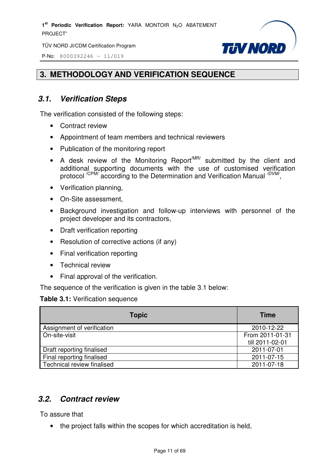P-No: 8000392246 – 11/019



# **3. METHODOLOGY AND VERIFICATION SEQUENCE**

# **3.1. Verification Steps**

The verification consisted of the following steps:

- Contract review
- Appointment of team members and technical reviewers
- Publication of the monitoring report
- A desk review of the Monitoring Report<sup>MR/</sup> submitted by the client and additional supporting documents with the use of customised verification protocol <sup>/CPM/</sup> according to the Determination and Verification Manual <sup>/DVM/</sup>,
- Verification planning,
- On-Site assessment,
- Background investigation and follow-up interviews with personnel of the project developer and its contractors,
- Draft verification reporting
- Resolution of corrective actions (if any)
- Final verification reporting
- Technical review
- Final approval of the verification.

The sequence of the verification is given in the table 3.1 below:

#### **Table 3.1:** Verification sequence

| <b>Topic</b>               | <b>Time</b>     |
|----------------------------|-----------------|
| Assignment of verification | 2010-12-22      |
| On-site-visit              | From 2011-01-31 |
|                            | till 2011-02-01 |
| Draft reporting finalised  | 2011-07-01      |
| Final reporting finalised  | 2011-07-15      |
| Technical review finalised | 2011-07-18      |

# **3.2. Contract review**

To assure that

• the project falls within the scopes for which accreditation is held,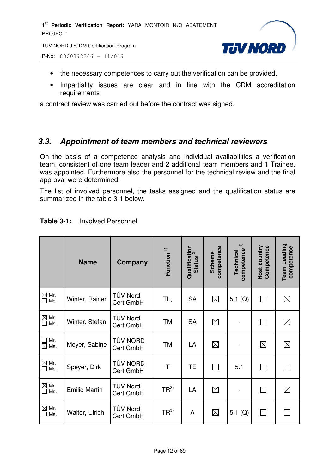1<sup>st</sup> Periodic Verification Report: YARA MONTOIR N<sub>2</sub>O ABATEMENT PROJECT"

TÜV NORD JI/CDM Certification Program





- the necessary competences to carry out the verification can be provided,
- Impartiality issues are clear and in line with the CDM accreditation requirements

a contract review was carried out before the contract was signed.

# **3.3. Appointment of team members and technical reviewers**

On the basis of a competence analysis and individual availabilities a verification team, consistent of one team leader and 2 additional team members and 1 Trainee, was appointed. Furthermore also the personnel for the technical review and the final approval were determined.

The list of involved personnel, the tasks assigned and the qualification status are summarized in the table 3-1 below.

|                                  | <b>Name</b>          | Company                      | Function <sup>1)</sup> | Qualification<br>Status <sup>2)</sup><br><b>Status</b> | competence<br><b>Scheme</b> | $\hat{+}$<br>competence<br>Technical | Host country<br>Competence | Team Leading<br>competence |
|----------------------------------|----------------------|------------------------------|------------------------|--------------------------------------------------------|-----------------------------|--------------------------------------|----------------------------|----------------------------|
| $\boxtimes$ Mr.<br>$\Box$<br>Ms. | Winter, Rainer       | <b>TÜV Nord</b><br>Cert GmbH | TL,                    | <b>SA</b>                                              | $\boxtimes$                 | 5.1 $(Q)$                            | $\mathbf{L}$               | $\boxtimes$                |
| $\boxtimes$ Mr.<br>Ms.<br>$\Box$ | Winter, Stefan       | <b>TÜV Nord</b><br>Cert GmbH | <b>TM</b>              | <b>SA</b>                                              | $\boxtimes$                 |                                      |                            | $\boxtimes$                |
| Mr.<br>$\Box$<br>$\boxtimes$ Ms. | Meyer, Sabine        | <b>TÜV NORD</b><br>Cert GmbH | TM                     | LA                                                     | $\boxtimes$                 |                                      | $\boxtimes$                | $\boxtimes$                |
| $\boxtimes$ Mr.<br>П<br>Ms.      | Speyer, Dirk         | <b>TÜV NORD</b><br>Cert GmbH | T                      | <b>TE</b>                                              |                             | 5.1                                  |                            |                            |
| $\boxtimes$ Mr.<br>$\Box$<br>Ms. | <b>Emilio Martin</b> | <b>TÜV Nord</b><br>Cert GmbH | $TR^{3)}$              | LA                                                     | $\boxtimes$                 |                                      |                            | $\boxtimes$                |
| $\boxtimes$ Mr.<br>Ms.<br>П      | Walter, Ulrich       | <b>TÜV Nord</b><br>Cert GmbH | $TR^{3)}$              | A                                                      | $\boxtimes$                 | 5.1 $(Q)$                            | $\mathbf{L}$               |                            |

#### **Table 3-1:** Involved Personnel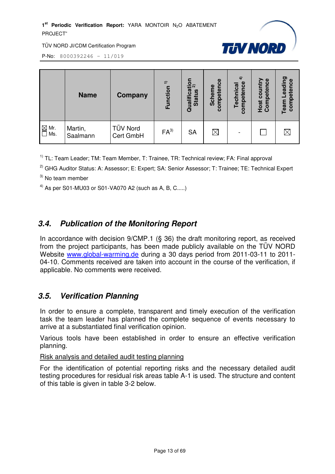#### 1<sup>st</sup> Periodic Verification Report: YARA MONTOIR N<sub>2</sub>O ABATEMENT PROJECT"



TÜV NORD JI/CDM Certification Program

P-No: 8000392246 – 11/019

|                        | <b>Name</b>         | <b>Company</b>        | $\widehat{\mathbf{r}}$<br>Function | $\begin{array}{c}\n \text{cation} \\ \text{cation} \\ \end{array}$<br><b>Status</b><br>ualifi<br>ō | e9<br><b>Scheme</b><br>mpeten<br>8 | $\hat{+}$<br>competence<br>Technical | Host country<br>Competence | ರಾ<br>competence<br>eadi<br>Team |
|------------------------|---------------------|-----------------------|------------------------------------|----------------------------------------------------------------------------------------------------|------------------------------------|--------------------------------------|----------------------------|----------------------------------|
| $\boxtimes$ Mr.<br>Ms. | Martin,<br>Saalmann | TÜV Nord<br>Cert GmbH | $FA^{3}$                           | <b>SA</b>                                                                                          | $\boxtimes$                        |                                      |                            | $\times$                         |

 $1)$  TL: Team Leader: TM: Team Member, T: Trainee, TR: Technical review: FA: Final approval

<sup>2)</sup> GHG Auditor Status: A: Assessor; E: Expert; SA: Senior Assessor; T: Trainee; TE: Technical Expert

 $3)$  No team member

<sup>4)</sup> As per S01-MU03 or S01-VA070 A2 (such as A, B, C.....)

# **3.4. Publication of the Monitoring Report**

In accordance with decision 9/CMP.1 (§ 36) the draft monitoring report, as received from the project participants, has been made publicly available on the TÜV NORD Website www.global-warming.de during a 30 days period from 2011-03-11 to 2011- 04-10. Comments received are taken into account in the course of the verification, if applicable. No comments were received.

# **3.5. Verification Planning**

In order to ensure a complete, transparent and timely execution of the verification task the team leader has planned the complete sequence of events necessary to arrive at a substantiated final verification opinion.

Various tools have been established in order to ensure an effective verification planning.

#### Risk analysis and detailed audit testing planning

For the identification of potential reporting risks and the necessary detailed audit testing procedures for residual risk areas table A-1 is used. The structure and content of this table is given in table 3-2 below.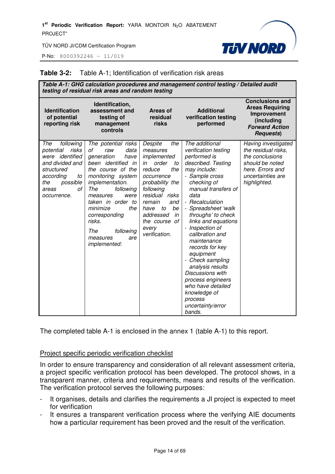P-No: 8000392246 – 11/019

#### **Table 3-2:** Table A-1; Identification of verification risk areas

|                                                                                                                                                                       | testing of residual risk areas and random testing                                                                                                                                                                                                                                                                             |                                                                                                                                                                                                                                                    | Table A-1: GHG calculation procedures and management control testing / Detailed audit                                                                                                                                                                                                                                                                                                                                                                                                                    |                                                                                                                                           |
|-----------------------------------------------------------------------------------------------------------------------------------------------------------------------|-------------------------------------------------------------------------------------------------------------------------------------------------------------------------------------------------------------------------------------------------------------------------------------------------------------------------------|----------------------------------------------------------------------------------------------------------------------------------------------------------------------------------------------------------------------------------------------------|----------------------------------------------------------------------------------------------------------------------------------------------------------------------------------------------------------------------------------------------------------------------------------------------------------------------------------------------------------------------------------------------------------------------------------------------------------------------------------------------------------|-------------------------------------------------------------------------------------------------------------------------------------------|
| <b>Identification</b><br>of potential<br>reporting risk                                                                                                               | Identification,<br>assessment and<br>testing of<br>management<br>controls                                                                                                                                                                                                                                                     | <b>Areas of</b><br>residual<br>risks                                                                                                                                                                                                               | <b>Additional</b><br>verification testing<br>performed                                                                                                                                                                                                                                                                                                                                                                                                                                                   | <b>Conclusions and</b><br><b>Areas Requiring</b><br>Improvement<br>(including<br><b>Forward Action</b><br><b>Requests</b> )               |
| The<br>following<br>risks<br>potential<br>were <i>identified</i><br>and divided and<br>structured<br>according<br>to<br>possible<br>the<br>οf<br>areas<br>occurrence. | The potential risks<br>data<br>οf<br>raw<br>generation<br>have<br>been identified<br>in<br>the course of the<br>monitoring system<br>implementation.<br>The<br>following<br>measures<br>were<br>taken in order to<br>the<br>minimize<br>corresponding<br>risks.<br>The<br>following<br>measures<br>are<br><i>implemented:</i> | Despite<br>the<br>measures<br>implemented<br>order<br>in<br>to<br>reduce<br>the<br>occurrence<br>probability the<br>following<br>residual risks<br>remain<br>and<br>be<br>to<br>have<br>addressed<br>in<br>the course of<br>every<br>verification. | The additional<br>verification testing<br>performed is<br>described. Testing<br>may include:<br>- Sample cross<br>checking of<br>manual transfers of<br>data<br>- Recalculation<br>- Spreadsheet 'walk<br>throughs' to check<br>links and equations<br>- Inspection of<br>calibration and<br>maintenance<br>records for key<br>equipment<br>- Check sampling<br>analysis results<br>Discussions with<br>process engineers<br>who have detailed<br>knowledge of<br>process<br>uncertainty/error<br>bands. | Having investigated<br>the residual risks,<br>the conclusions<br>should be noted<br>here. Errors and<br>uncertainties are<br>highlighted. |

**TIN NORD** 

The completed table A-1 is enclosed in the annex 1 (table A-1) to this report.

#### Project specific periodic verification checklist

In order to ensure transparency and consideration of all relevant assessment criteria, a project specific verification protocol has been developed. The protocol shows, in a transparent manner, criteria and requirements, means and results of the verification. The verification protocol serves the following purposes:

- It organises, details and clarifies the requirements a JI project is expected to meet for verification
- It ensures a transparent verification process where the verifying AIE documents how a particular requirement has been proved and the result of the verification.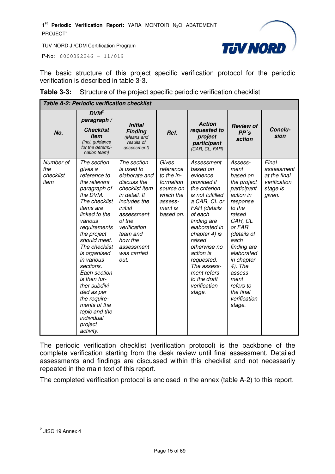P-No: 8000392246 – 11/019



The basic structure of this project specific verification protocol for the periodic verification is described in table 3-3.

| <b>Table 3-3:</b> Structure of the project specific periodic verification checklist |
|-------------------------------------------------------------------------------------|
|-------------------------------------------------------------------------------------|

| Table A-2: Periodic verification checklist |                                                                                                                                                                                                                                                                                                                                                                                                                      |                                                                                                                                                                                                                             |                                                                                                            |                                                                                                                                                                                                                                                                                                                 |                                                                                                                                                                                                                                                                                 |                                                                           |
|--------------------------------------------|----------------------------------------------------------------------------------------------------------------------------------------------------------------------------------------------------------------------------------------------------------------------------------------------------------------------------------------------------------------------------------------------------------------------|-----------------------------------------------------------------------------------------------------------------------------------------------------------------------------------------------------------------------------|------------------------------------------------------------------------------------------------------------|-----------------------------------------------------------------------------------------------------------------------------------------------------------------------------------------------------------------------------------------------------------------------------------------------------------------|---------------------------------------------------------------------------------------------------------------------------------------------------------------------------------------------------------------------------------------------------------------------------------|---------------------------------------------------------------------------|
| No.                                        | $DVM^2$<br>paragraph /<br><b>Checklist</b><br><b>Item</b><br>(incl. guidance<br>for the determi-<br>nation team)                                                                                                                                                                                                                                                                                                     | <b>Initial</b><br><b>Finding</b><br>(Means and<br>results of<br>assessment)                                                                                                                                                 | Ref.                                                                                                       | <b>Action</b><br>requested to<br>project<br>participant<br>(CAR, CL, FAR)                                                                                                                                                                                                                                       | <b>Review of</b><br>PP's<br>action                                                                                                                                                                                                                                              | Conclu-<br>sion                                                           |
| Number of<br>the<br>checklist<br>item      | The section<br>gives a<br>reference to<br>the relevant<br>paragraph of<br>the DVM.<br>The checklist<br><i>items</i> are<br>linked to the<br>various<br>requirements<br>the project<br>should meet.<br>The checklist<br>is organised<br>in various<br>sections.<br>Each section<br>is then fur-<br>ther subdivi-<br>ded as per<br>the require-<br>ments of the<br>topic and the<br>individual<br>project<br>activity. | The section<br>is used to<br>elaborate and<br>discuss the<br>checklist item<br>in detail. It<br>includes the<br>initial<br>assessment<br>of the<br>verification<br>team and<br>how the<br>assessment<br>was carried<br>out. | Gives<br>reference<br>to the in-<br>formation<br>source on<br>which the<br>assess-<br>ment is<br>based on. | Assessment<br>based on<br>evidence<br>provided if<br>the criterion<br>is not fulfilled<br>a CAR, CL or<br>FAR (details<br>of each<br>finding are<br>elaborated in<br>chapter 4) is<br>raised<br>otherwise no<br>action is<br>requested.<br>The assess-<br>ment refers<br>to the draft<br>verification<br>stage. | Assess-<br>ment<br>based on<br>the project<br>participant<br>action in<br>response<br>to the<br>raised<br>CAR, CL<br>or FAR<br>(details of<br>each<br>finding are<br>elaborated<br>in chapter<br>4). The<br>assess-<br>ment<br>refers to<br>the final<br>verification<br>stage. | Final<br>assessment<br>at the final<br>verification<br>stage is<br>given. |

The periodic verification checklist (verification protocol) is the backbone of the complete verification starting from the desk review until final assessment. Detailed assessments and findings are discussed within this checklist and not necessarily repeated in the main text of this report.

The completed verification protocol is enclosed in the annex (table A-2) to this report.

<sup>&</sup>lt;u>2</u><br>2 JISC 19 Annex 4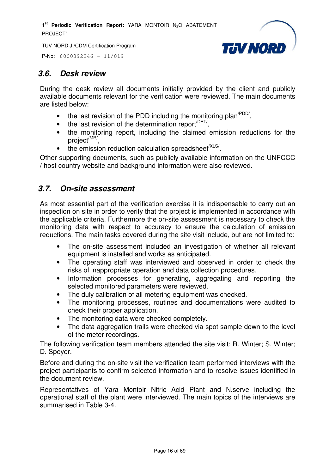



# **3.6. Desk review**

During the desk review all documents initially provided by the client and publicly available documents relevant for the verification were reviewed. The main documents are listed below:

- the last revision of the PDD including the monitoring plan<sup> $PDD/$ </sup>,
- $\bullet$  the last revision of the determination report<sup> $/$ DET/</sup>,
- the monitoring report, including the claimed emission reductions for the project<sup>/MR/</sup>,
- $\bullet$  the emission reduction calculation spreadsheet<sup>/XLS/</sup>.

Other supporting documents, such as publicly available information on the UNFCCC / host country website and background information were also reviewed.

# **3.7. On-site assessment**

As most essential part of the verification exercise it is indispensable to carry out an inspection on site in order to verify that the project is implemented in accordance with the applicable criteria. Furthermore the on-site assessment is necessary to check the monitoring data with respect to accuracy to ensure the calculation of emission reductions. The main tasks covered during the site visit include, but are not limited to:

- The on-site assessment included an investigation of whether all relevant equipment is installed and works as anticipated.
- The operating staff was interviewed and observed in order to check the risks of inappropriate operation and data collection procedures.
- Information processes for generating, aggregating and reporting the selected monitored parameters were reviewed.
- The duly calibration of all metering equipment was checked.
- The monitoring processes, routines and documentations were audited to check their proper application.
- The monitoring data were checked completely.
- The data aggregation trails were checked via spot sample down to the level of the meter recordings.

The following verification team members attended the site visit: R. Winter; S. Winter; D. Speyer.

Before and during the on-site visit the verification team performed interviews with the project participants to confirm selected information and to resolve issues identified in the document review.

Representatives of Yara Montoir Nitric Acid Plant and N.serve including the operational staff of the plant were interviewed. The main topics of the interviews are summarised in Table 3-4.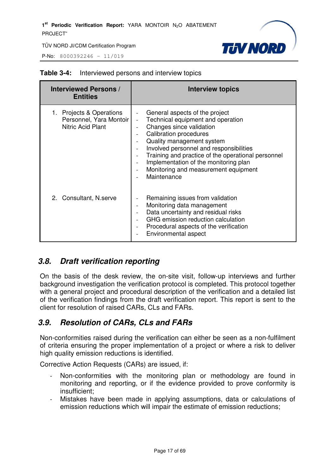P-No: 8000392246 – 11/019



| <b>Interviewed Persons /</b><br><b>Entities</b>                          | <b>Interview topics</b>                                                                                                                                                                                                                                                                                                                                                          |
|--------------------------------------------------------------------------|----------------------------------------------------------------------------------------------------------------------------------------------------------------------------------------------------------------------------------------------------------------------------------------------------------------------------------------------------------------------------------|
| 1. Projects & Operations<br>Personnel, Yara Montoir<br>Nitric Acid Plant | General aspects of the project<br>Technical equipment and operation<br>$\overline{a}$<br>Changes since validation<br><b>Calibration procedures</b><br>Quality management system<br>Involved personnel and responsibilities<br>Training and practice of the operational personnel<br>Implementation of the monitoring plan<br>Monitoring and measurement equipment<br>Maintenance |
| 2. Consultant, N.serve                                                   | Remaining issues from validation<br>Monitoring data management<br>Data uncertainty and residual risks<br>GHG emission reduction calculation<br>Procedural aspects of the verification<br>Environmental aspect                                                                                                                                                                    |

#### **Table 3-4:** Interviewed persons and interview topics

# **3.8. Draft verification reporting**

On the basis of the desk review, the on-site visit, follow-up interviews and further background investigation the verification protocol is completed. This protocol together with a general project and procedural description of the verification and a detailed list of the verification findings from the draft verification report. This report is sent to the client for resolution of raised CARs, CLs and FARs.

# **3.9. Resolution of CARs, CLs and FARs**

Non-conformities raised during the verification can either be seen as a non-fulfilment of criteria ensuring the proper implementation of a project or where a risk to deliver high quality emission reductions is identified.

Corrective Action Requests (CARs) are issued, if:

- Non-conformities with the monitoring plan or methodology are found in monitoring and reporting, or if the evidence provided to prove conformity is insufficient;
- Mistakes have been made in applying assumptions, data or calculations of emission reductions which will impair the estimate of emission reductions;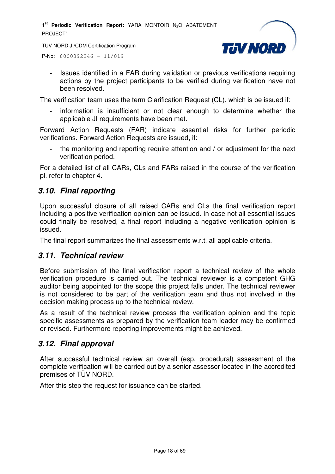1<sup>st</sup> Periodic Verification Report: YARA MONTOIR N<sub>2</sub>O ABATEMENT PROJECT"

TÜV NORD JI/CDM Certification Program



P-No: 8000392246 – 11/019

- Issues identified in a FAR during validation or previous verifications requiring actions by the project participants to be verified during verification have not been resolved.

The verification team uses the term Clarification Request (CL), which is be issued if:

information is insufficient or not clear enough to determine whether the applicable JI requirements have been met.

Forward Action Requests (FAR) indicate essential risks for further periodic verifications. Forward Action Requests are issued, if:

the monitoring and reporting require attention and / or adjustment for the next verification period.

For a detailed list of all CARs, CLs and FARs raised in the course of the verification pl. refer to chapter 4.

# **3.10. Final reporting**

Upon successful closure of all raised CARs and CLs the final verification report including a positive verification opinion can be issued. In case not all essential issues could finally be resolved, a final report including a negative verification opinion is issued.

The final report summarizes the final assessments w.r.t. all applicable criteria.

#### **3.11. Technical review**

Before submission of the final verification report a technical review of the whole verification procedure is carried out. The technical reviewer is a competent GHG auditor being appointed for the scope this project falls under. The technical reviewer is not considered to be part of the verification team and thus not involved in the decision making process up to the technical review.

As a result of the technical review process the verification opinion and the topic specific assessments as prepared by the verification team leader may be confirmed or revised. Furthermore reporting improvements might be achieved.

## **3.12. Final approval**

After successful technical review an overall (esp. procedural) assessment of the complete verification will be carried out by a senior assessor located in the accredited premises of TÜV NORD.

After this step the request for issuance can be started.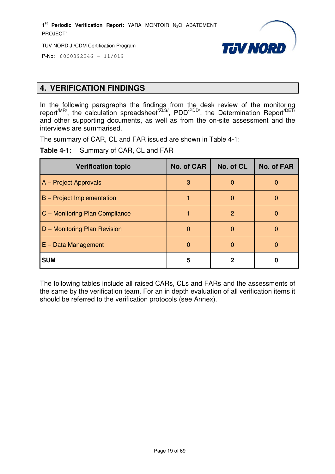1<sup>st</sup> Periodic Verification Report: YARA MONTOIR N<sub>2</sub>O ABATEMENT PROJECT"

TÜV NORD JI/CDM Certification Program



P-No: 8000392246 – 11/019

# **4. VERIFICATION FINDINGS**

In the following paragraphs the findings from the desk review of the monitoring report<sup>/MR/</sup>, the calculation spreadsheet<sup>/XLS/</sup>, PDD<sup>/PDD/</sup>, the Determination Report<sup>/DET/</sup> and other supporting documents, as well as from the on-site assessment and the interviews are summarised.

The summary of CAR, CL and FAR issued are shown in Table 4-1:

**Table 4-1:** Summary of CAR, CL and FAR

| <b>Verification topic</b>         | <b>No. of CAR</b> | No. of CL    | <b>No. of FAR</b> |
|-----------------------------------|-------------------|--------------|-------------------|
| A - Project Approvals             | 3                 | 0            |                   |
| <b>B</b> – Project Implementation |                   | <sup>0</sup> |                   |
| C - Monitoring Plan Compliance    |                   | 2            |                   |
| D - Monitoring Plan Revision      | $\Omega$          | O            |                   |
| $E - Data Management$             | $\Omega$          | O            |                   |
| <b>SUM</b>                        | 5                 |              |                   |

The following tables include all raised CARs, CLs and FARs and the assessments of the same by the verification team. For an in depth evaluation of all verification items it should be referred to the verification protocols (see Annex).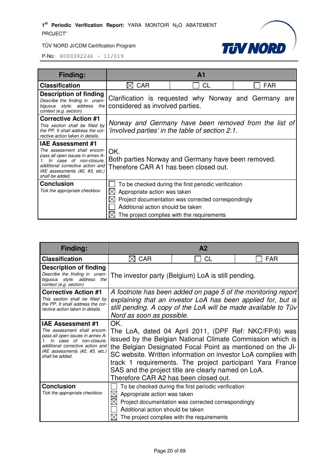

| <b>Finding:</b>                                                                                                                                                                                                                    |                                                                                                          | A <sub>1</sub>                                                                                                                                            |            |  |
|------------------------------------------------------------------------------------------------------------------------------------------------------------------------------------------------------------------------------------|----------------------------------------------------------------------------------------------------------|-----------------------------------------------------------------------------------------------------------------------------------------------------------|------------|--|
| <b>Classification</b>                                                                                                                                                                                                              | <b>CAR</b><br>$\bowtie$                                                                                  | СL                                                                                                                                                        | <b>FAR</b> |  |
| Description of finding<br>Describe the finding in unam-<br>biguous style; address the<br>context (e.g. section)                                                                                                                    | Clarification is requested why Norway and Germany are<br>considered as involved parties.                 |                                                                                                                                                           |            |  |
| <b>Corrective Action #1</b><br>This section shall be filled by<br>the PP. It shall address the cor-<br>rective action taken in details.                                                                                            | Norway and Germany have been removed from the list of<br>'involved parties' in the table of section 2.1. |                                                                                                                                                           |            |  |
| <b>IAE Assessment #1</b><br>The assessment shall encom-<br>pass all open issues in annex A-<br>In case of non-closure.<br>$\mathcal{I}$ .<br>additional corrective action and<br>IAE assessments (#2, #3, etc.)<br>shall be added. | OK.<br>Therefore CAR A1 has been closed out.                                                             | Both parties Norway and Germany have been removed.                                                                                                        |            |  |
| <b>Conclusion</b><br>Tick the appropriate checkbox                                                                                                                                                                                 | Appropriate action was taken<br>$\mathbb{X}$ l<br>Additional action should be taken                      | To be checked during the first periodic verification<br>Project documentation was corrected correspondingly<br>The project complies with the requirements |            |  |

| Finding:                                                                                                                                                                            |                                                                                                                                                                                                                                                                                                                                                                                                                 | A2                                                   |            |  |  |
|-------------------------------------------------------------------------------------------------------------------------------------------------------------------------------------|-----------------------------------------------------------------------------------------------------------------------------------------------------------------------------------------------------------------------------------------------------------------------------------------------------------------------------------------------------------------------------------------------------------------|------------------------------------------------------|------------|--|--|
| <b>Classification</b>                                                                                                                                                               | <b>CAR</b>                                                                                                                                                                                                                                                                                                                                                                                                      | CL                                                   | <b>FAR</b> |  |  |
| <b>Description of finding</b>                                                                                                                                                       |                                                                                                                                                                                                                                                                                                                                                                                                                 |                                                      |            |  |  |
| Describe the finding in unam-<br>biguous style; address the<br>context (e.g. section)                                                                                               | The investor party (Belgium) LoA is still pending.                                                                                                                                                                                                                                                                                                                                                              |                                                      |            |  |  |
| <b>Corrective Action #1</b><br>This section shall be filled by<br>the PP. It shall address the cor-<br>rective action taken in details.                                             | A footnote has been added on page 5 of the monitoring report<br>explaining that an investor LoA has been applied for, but is<br>still pending. A copy of the LoA will be made available to Tüv<br>Nord as soon as possible.                                                                                                                                                                                     |                                                      |            |  |  |
| <b>IAE Assessment #1</b>                                                                                                                                                            | OK.                                                                                                                                                                                                                                                                                                                                                                                                             |                                                      |            |  |  |
| The assessment shall encom-<br>pass all open issues in annex A-<br>In case of non-closure.<br>additional corrective action and<br>IAE assessments (#2, #3, etc.)<br>shall be added. | The LoA, dated 04 April 2011, (DPF Ref: NKC/FP/6) was<br>issued by the Belgian National Climate Commission which is<br>the Belgian Designated Focal Point as mentioned on the JI-<br>SC website. Written information on investor LoA complies with<br>track 1 requirements. The project participant Yara France<br>SAS and the project title are clearly named on LoA.<br>Therefore CAR A2 has been closed out. |                                                      |            |  |  |
| <b>Conclusion</b>                                                                                                                                                                   |                                                                                                                                                                                                                                                                                                                                                                                                                 | To be checked during the first periodic verification |            |  |  |
| Tick the appropriate checkbox                                                                                                                                                       | Appropriate action was taken                                                                                                                                                                                                                                                                                                                                                                                    |                                                      |            |  |  |
|                                                                                                                                                                                     |                                                                                                                                                                                                                                                                                                                                                                                                                 | Project documentation was corrected correspondingly  |            |  |  |
|                                                                                                                                                                                     | Additional action should be taken                                                                                                                                                                                                                                                                                                                                                                               |                                                      |            |  |  |
|                                                                                                                                                                                     |                                                                                                                                                                                                                                                                                                                                                                                                                 | The project complies with the requirements           |            |  |  |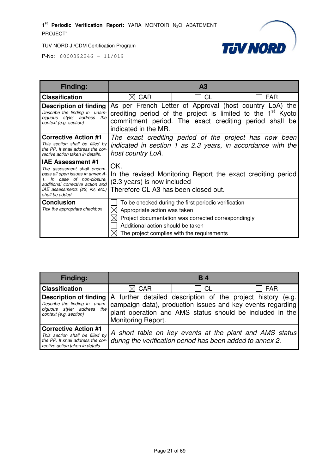



| Finding:                                                                                                                                                                                                        |                                                                                                                                            | A <sub>3</sub>                                                                                                                                            |                                                                                                                                   |  |
|-----------------------------------------------------------------------------------------------------------------------------------------------------------------------------------------------------------------|--------------------------------------------------------------------------------------------------------------------------------------------|-----------------------------------------------------------------------------------------------------------------------------------------------------------|-----------------------------------------------------------------------------------------------------------------------------------|--|
| <b>Classification</b>                                                                                                                                                                                           | <b>CAR</b>                                                                                                                                 | СL                                                                                                                                                        | <b>FAR</b>                                                                                                                        |  |
| <b>Description of finding</b><br>Describe the finding in unam-<br>biguous style; address<br>the<br>context (e.g. section)                                                                                       | As per French Letter of Approval (host country LoA) the<br>indicated in the MR.                                                            |                                                                                                                                                           | crediting period of the project is limited to the 1 <sup>st</sup> Kyoto<br>commitment period. The exact crediting period shall be |  |
| <b>Corrective Action #1</b><br>This section shall be filled by<br>the PP. It shall address the cor-<br>rective action taken in details.                                                                         | The exact crediting period of the project has now been<br>indicated in section 1 as 2.3 years, in accordance with the<br>host country LoA. |                                                                                                                                                           |                                                                                                                                   |  |
| <b>IAE Assessment #1</b><br>The assessment shall encom-<br>pass all open issues in annex A-<br>In case of non-closure.<br>additional corrective action and<br>IAE assessments (#2, #3, etc.)<br>shall be added. | OK.<br>In the revised Monitoring Report the exact crediting period<br>(2.3 years) is now included<br>Therefore CL A3 has been closed out.  |                                                                                                                                                           |                                                                                                                                   |  |
| <b>Conclusion</b><br>Tick the appropriate checkbox                                                                                                                                                              | Appropriate action was taken<br>Additional action should be taken                                                                          | To be checked during the first periodic verification<br>Project documentation was corrected correspondingly<br>The project complies with the requirements |                                                                                                                                   |  |

| <b>Finding:</b>                                                                                                                            | <b>B</b> 4                                                                                                                                                                                                                                 |                                                           |                                                         |  |  |
|--------------------------------------------------------------------------------------------------------------------------------------------|--------------------------------------------------------------------------------------------------------------------------------------------------------------------------------------------------------------------------------------------|-----------------------------------------------------------|---------------------------------------------------------|--|--|
| <b>Classification</b>                                                                                                                      | $\boxtimes$ CAR                                                                                                                                                                                                                            | <b>CL</b>                                                 | <b>FAR</b>                                              |  |  |
| <b>Description of finding</b><br>biguous style; address the<br>context (e.g. section)                                                      | A further detailed description of the project history (e.g.<br>Describe the finding in unam   campaign data), production issues and key events regarding<br>plant operation and AMS status should be included in the<br>Monitoring Report. |                                                           |                                                         |  |  |
| <b>Corrective Action #1</b><br>This section shall be filled by<br>the PP. It shall address the $cor$ -<br>rective action taken in details. |                                                                                                                                                                                                                                            | during the verification period has been added to annex 2. | A short table on key events at the plant and AMS status |  |  |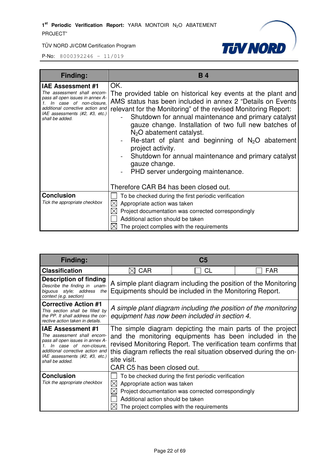



| Finding:                                                                                                                                                                                                        | <b>B4</b>                                                                                                                                                                                                                                                                                                                                                                                                                                                                                                                                    |
|-----------------------------------------------------------------------------------------------------------------------------------------------------------------------------------------------------------------|----------------------------------------------------------------------------------------------------------------------------------------------------------------------------------------------------------------------------------------------------------------------------------------------------------------------------------------------------------------------------------------------------------------------------------------------------------------------------------------------------------------------------------------------|
| <b>IAE Assessment #1</b><br>The assessment shall encom-<br>pass all open issues in annex A-<br>In case of non-closure.<br>additional corrective action and<br>IAE assessments (#2, #3, etc.)<br>shall be added. | OK.<br>The provided table on historical key events at the plant and<br>AMS status has been included in annex 2 "Details on Events<br>relevant for the Monitoring" of the revised Monitoring Report:<br>Shutdown for annual maintenance and primary catalyst<br>gauze change. Installation of two full new batches of<br>$N2O$ abatement catalyst.<br>Re-start of plant and beginning of $N_2O$ abatement<br>project activity.<br>Shutdown for annual maintenance and primary catalyst<br>gauze change.<br>PHD server undergoing maintenance. |
| <b>Conclusion</b>                                                                                                                                                                                               | Therefore CAR B4 has been closed out.<br>To be checked during the first periodic verification                                                                                                                                                                                                                                                                                                                                                                                                                                                |
| Tick the appropriate checkbox                                                                                                                                                                                   | Appropriate action was taken                                                                                                                                                                                                                                                                                                                                                                                                                                                                                                                 |
|                                                                                                                                                                                                                 | Project documentation was corrected correspondingly                                                                                                                                                                                                                                                                                                                                                                                                                                                                                          |
|                                                                                                                                                                                                                 | Additional action should be taken                                                                                                                                                                                                                                                                                                                                                                                                                                                                                                            |
|                                                                                                                                                                                                                 | The project complies with the requirements                                                                                                                                                                                                                                                                                                                                                                                                                                                                                                   |

| Finding:                                                                                                                                                                                                        | C5                                                                                                                                                                                                                                                                                                       |           |     |
|-----------------------------------------------------------------------------------------------------------------------------------------------------------------------------------------------------------------|----------------------------------------------------------------------------------------------------------------------------------------------------------------------------------------------------------------------------------------------------------------------------------------------------------|-----------|-----|
| <b>Classification</b>                                                                                                                                                                                           | CAR                                                                                                                                                                                                                                                                                                      | <b>CL</b> | FAR |
| Description of finding<br>Describe the finding in unam-<br>biguous style; address the<br>context (e.g. section)                                                                                                 | A simple plant diagram including the position of the Monitoring<br>Equipments should be included in the Monitoring Report.                                                                                                                                                                               |           |     |
| <b>Corrective Action #1</b><br>This section shall be filled by<br>the PP. It shall address the cor-<br>rective action taken in details.                                                                         | A simple plant diagram including the position of the monitoring<br>equipment has now been included in section 4.                                                                                                                                                                                         |           |     |
| <b>IAE Assessment #1</b><br>The assessment shall encom-<br>pass all open issues in annex A-<br>In case of non-closure.<br>additional corrective action and<br>IAE assessments (#2, #3, etc.)<br>shall be added. | The simple diagram depicting the main parts of the project<br>and the monitoring equipments has been included in the<br>revised Monitoring Report. The verification team confirms that<br>this diagram reflects the real situation observed during the on-<br>site visit.<br>CAR C5 has been closed out. |           |     |
| <b>Conclusion</b><br>Tick the appropriate checkbox                                                                                                                                                              | To be checked during the first periodic verification<br>Appropriate action was taken<br>Project documentation was corrected correspondingly<br>Additional action should be taken<br>The project complies with the requirements                                                                           |           |     |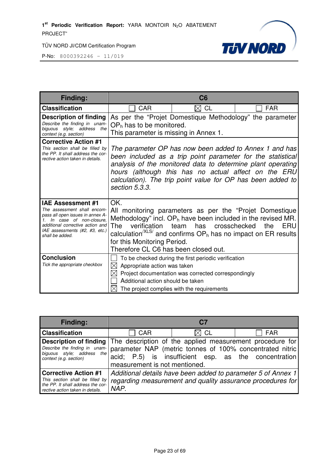

| Finding:                                                                                                                                                                                                           | C6                                                                                                                                                                                                                                                                                                                            |                                                                                                                                                                                                                                                 |            |
|--------------------------------------------------------------------------------------------------------------------------------------------------------------------------------------------------------------------|-------------------------------------------------------------------------------------------------------------------------------------------------------------------------------------------------------------------------------------------------------------------------------------------------------------------------------|-------------------------------------------------------------------------------------------------------------------------------------------------------------------------------------------------------------------------------------------------|------------|
| <b>Classification</b>                                                                                                                                                                                              | <b>CAR</b>                                                                                                                                                                                                                                                                                                                    | $\boxtimes$ CL                                                                                                                                                                                                                                  | <b>FAR</b> |
| <b>Description of finding</b><br>Describe the finding in unam-<br>biguous style; address the<br>context (e.g. section)                                                                                             | As per the "Projet Domestique Methodology" the parameter<br>$OPh$ has to be monitored.<br>This parameter is missing in Annex 1.                                                                                                                                                                                               |                                                                                                                                                                                                                                                 |            |
| <b>Corrective Action #1</b><br>This section shall be filled by<br>the PP. It shall address the cor-<br>rective action taken in details.                                                                            | The parameter OP has now been added to Annex 1 and has<br>been included as a trip point parameter for the statistical<br>analysis of the monitored data to determine plant operating<br>hours (although this has no actual affect on the ERU<br>calculation). The trip point value for OP has been added to<br>section 5.3.3. |                                                                                                                                                                                                                                                 |            |
| <b>IAE Assessment #1</b><br>The assessment shall encom-<br>pass all open issues in annex A-<br>1. In case of non-closure.<br>additional corrective action and<br>IAE assessments (#2, #3, etc.)<br>shall be added. | OK.<br>The<br>for this Monitoring Period.<br>Therefore CL C6 has been closed out.                                                                                                                                                                                                                                             | All monitoring parameters as per the "Projet Domestique<br>Methodology" incl. $OP_h$ have been included in the revised MR.<br>verification team has crosschecked<br>calculation <sup>/XLS/</sup> and confirms $OPh$ has no impact on ER results | ERU<br>the |
| <b>Conclusion</b><br>Tick the appropriate checkbox                                                                                                                                                                 | $\boxtimes$<br>Appropriate action was taken<br>Additional action should be taken                                                                                                                                                                                                                                              | To be checked during the first periodic verification<br>Project documentation was corrected correspondingly<br>The project complies with the requirements                                                                                       |            |

| <b>Finding:</b>                                                                                                                                                                                 | C7                                                                                                                                 |                                                                                                                  |            |
|-------------------------------------------------------------------------------------------------------------------------------------------------------------------------------------------------|------------------------------------------------------------------------------------------------------------------------------------|------------------------------------------------------------------------------------------------------------------|------------|
| <b>Classification</b>                                                                                                                                                                           | <b>CAR</b>                                                                                                                         | $\boxtimes$ CL                                                                                                   | <b>FAR</b> |
| <b>Description of finding</b> The description of the applied measurement procedure for<br>Describe the finding in unam-<br>the <sub>1</sub><br>biguous style; address<br>context (e.g. section) | measurement is not mentioned.                                                                                                      | parameter NAP (metric tonnes of 100% concentrated nitric<br>acid; P.5) is insufficient esp. as the concentration |            |
| <b>Corrective Action #1</b><br>This section shall be filled by<br>the PP. It shall address the cor-<br>rective action taken in details.                                                         | Additional details have been added to parameter 5 of Annex 1<br>regarding measurement and quality assurance procedures for<br>NAP. |                                                                                                                  |            |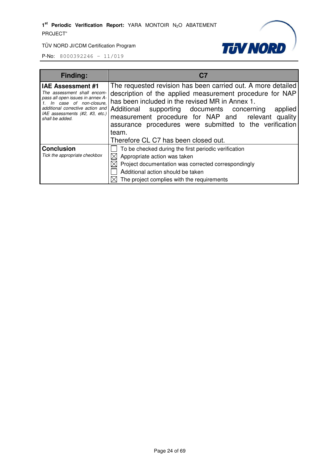

| <b>Finding:</b>                                                                                                                                                                                                            | C.7                                                                                                                                                                                                                                                                                                                                                                                         |  |
|----------------------------------------------------------------------------------------------------------------------------------------------------------------------------------------------------------------------------|---------------------------------------------------------------------------------------------------------------------------------------------------------------------------------------------------------------------------------------------------------------------------------------------------------------------------------------------------------------------------------------------|--|
| <b>IAE Assessment #1</b><br>The assessment shall encom-<br>pass all open issues in annex A-<br>In case of non-closure.<br>additional corrective action and Additional<br>IAE assessments (#2, #3, etc.)<br>shall be added. | The requested revision has been carried out. A more detailed<br>description of the applied measurement procedure for NAP<br>has been included in the revised MR in Annex 1.<br>supporting documents concerning<br>applied<br>measurement procedure for NAP and relevant quality<br>assurance procedures were submitted to the verification<br>team.<br>Therefore CL C7 has been closed out. |  |
| <b>Conclusion</b><br>Tick the appropriate checkbox                                                                                                                                                                         | To be checked during the first periodic verification<br>Appropriate action was taken<br>Project documentation was corrected correspondingly<br>Additional action should be taken<br>The project complies with the requirements                                                                                                                                                              |  |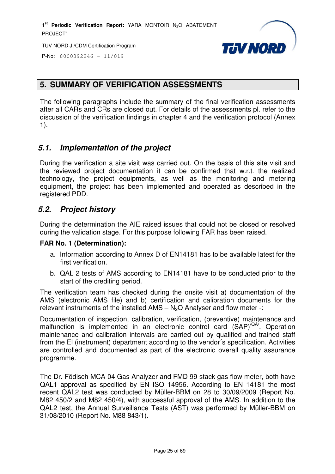

P-No: 8000392246 – 11/019

# **5. SUMMARY OF VERIFICATION ASSESSMENTS**

The following paragraphs include the summary of the final verification assessments after all CARs and CRs are closed out. For details of the assessments pl. refer to the discussion of the verification findings in chapter 4 and the verification protocol (Annex 1).

# **5.1. Implementation of the project**

During the verification a site visit was carried out. On the basis of this site visit and the reviewed project documentation it can be confirmed that w.r.t. the realized technology, the project equipments, as well as the monitoring and metering equipment, the project has been implemented and operated as described in the registered PDD.

# **5.2. Project history**

During the determination the AIE raised issues that could not be closed or resolved during the validation stage. For this purpose following FAR has been raised.

#### **FAR No. 1 (Determination):**

- a. Information according to Annex D of EN14181 has to be available latest for the first verification.
- b. QAL 2 tests of AMS according to EN14181 have to be conducted prior to the start of the crediting period.

The verification team has checked during the onsite visit a) documentation of the AMS (electronic AMS file) and b) certification and calibration documents for the relevant instruments of the installed  $AMS - N<sub>2</sub>O$  Analyser and flow meter -:

Documentation of inspection, calibration, verification, (preventive) maintenance and malfunction is implemented in an electronic control card  $(SAP)^{\langle QA \rangle}$ . Operation maintenance and calibration intervals are carried out by qualified and trained staff from the El (instrument) department according to the vendor´s specification. Activities are controlled and documented as part of the electronic overall quality assurance programme.

The Dr. Födisch MCA 04 Gas Analyzer and FMD 99 stack gas flow meter, both have QAL1 approval as specified by EN ISO 14956. According to EN 14181 the most recent QAL2 test was conducted by Müller-BBM on 28 to 30/09/2009 (Report No. M82 450/2 and M82 450/4), with successful approval of the AMS. In addition to the QAL2 test, the Annual Surveillance Tests (AST) was performed by Müller-BBM on 31/08/2010 (Report No. M88 843/1).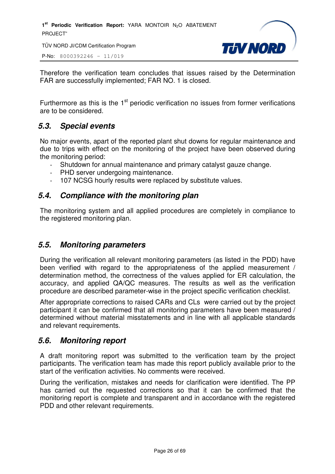1<sup>st</sup> Periodic Verification Report: YARA MONTOIR N<sub>2</sub>O ABATEMENT PROJECT"

TÜV NORD JI/CDM Certification Program

P-No: 8000392246 – 11/019



Therefore the verification team concludes that issues raised by the Determination FAR are successfully implemented; FAR NO. 1 is closed.

Furthermore as this is the  $1<sup>st</sup>$  periodic verification no issues from former verifications are to be considered.

# **5.3. Special events**

No major events, apart of the reported plant shut downs for regular maintenance and due to trips with effect on the monitoring of the project have been observed during the monitoring period:

- Shutdown for annual maintenance and primary catalyst gauze change.
- PHD server undergoing maintenance.
- 107 NCSG hourly results were replaced by substitute values.

## **5.4. Compliance with the monitoring plan**

The monitoring system and all applied procedures are completely in compliance to the registered monitoring plan.

## **5.5. Monitoring parameters**

During the verification all relevant monitoring parameters (as listed in the PDD) have been verified with regard to the appropriateness of the applied measurement / determination method, the correctness of the values applied for ER calculation, the accuracy, and applied QA/QC measures. The results as well as the verification procedure are described parameter-wise in the project specific verification checklist.

After appropriate corrections to raised CARs and CLs were carried out by the project participant it can be confirmed that all monitoring parameters have been measured / determined without material misstatements and in line with all applicable standards and relevant requirements.

## **5.6. Monitoring report**

A draft monitoring report was submitted to the verification team by the project participants. The verification team has made this report publicly available prior to the start of the verification activities. No comments were received.

During the verification, mistakes and needs for clarification were identified. The PP has carried out the requested corrections so that it can be confirmed that the monitoring report is complete and transparent and in accordance with the registered PDD and other relevant requirements.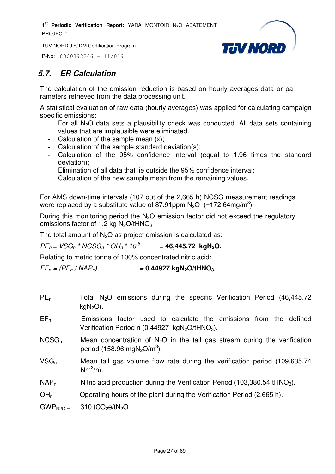

P-No: 8000392246 – 11/019

# **5.7. ER Calculation**

The calculation of the emission reduction is based on hourly averages data or parameters retrieved from the data processing unit.

A statistical evaluation of raw data (hourly averages) was applied for calculating campaign specific emissions:

- For all  $N_2O$  data sets a plausibility check was conducted. All data sets containing values that are implausible were eliminated.
- Calculation of the sample mean  $(x)$ ;
- Calculation of the sample standard deviation(s);
- Calculation of the 95% confidence interval (equal to 1.96 times the standard deviation);
- Elimination of all data that lie outside the 95% confidence interval;
- Calculation of the new sample mean from the remaining values.

For AMS down-time intervals (107 out of the 2,665 h) NCSG measurement readings were replaced by a substitute value of 87.91ppm  $N_2O$  (=172.64mg/m<sup>3</sup>).

During this monitoring period the  $N_2O$  emission factor did not exceed the regulatory emissions factor of 1.2 kg  $N_2O/tHNO_3$ .

The total amount of  $N<sub>2</sub>O$  as project emission is calculated as:

 $PE_n = VSG_n * NCSG_n * OH_n * 10^{-6}$ = **46,445.72 kgN2O.**

Relating to metric tonne of 100% concentrated nitric acid:

 $EF_p = (PE_p / NAP_p)$  = 0.44927 kgN<sub>2</sub>O/tHNO<sub>3</sub>

- $PE<sub>n</sub>$  Total N<sub>2</sub>O emissions during the specific Verification Period (46,445.72)  $kgN<sub>2</sub>O$ ).
- $EF_n$  Emissions factor used to calculate the emissions from the defined Verification Period n (0.44927  $kgN<sub>2</sub>O/tHNO<sub>3</sub>$ ).
- $NCSG_n$  Mean concentration of N<sub>2</sub>O in the tail gas stream during the verification period (158.96 mgN<sub>2</sub>O/m<sup>3</sup>).
- VSGn Mean tail gas volume flow rate during the verification period (109,635.74  $\mathsf{Nm}^3\mathsf{/h}.$
- $NAP_n$  Nitric acid production during the Verification Period (103,380.54 tHNO<sub>3</sub>).

 $OH<sub>n</sub>$  Operating hours of the plant during the Verification Period (2,665 h).

 $GWP<sub>N2O</sub> = 310 tCO<sub>2</sub>e/tN<sub>2</sub>O$ .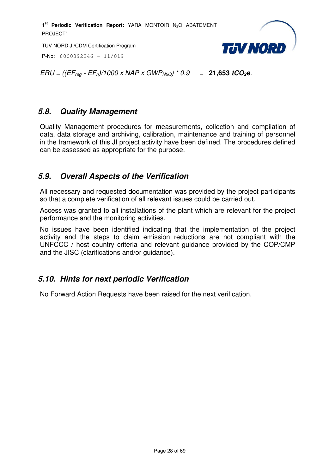P-No: 8000392246 – 11/019



 $ERU = ((EF_{\text{rea}} - EF_{\text{n}})/1000 \times \text{NAP} \times \text{GWP}_{\text{N2O}}) * 0.9 = 21,653 \text{ tCO}_{2}e.$ 

# **5.8. Quality Management**

Quality Management procedures for measurements, collection and compilation of data, data storage and archiving, calibration, maintenance and training of personnel in the framework of this JI project activity have been defined. The procedures defined can be assessed as appropriate for the purpose.

# **5.9. Overall Aspects of the Verification**

All necessary and requested documentation was provided by the project participants so that a complete verification of all relevant issues could be carried out.

Access was granted to all installations of the plant which are relevant for the project performance and the monitoring activities.

No issues have been identified indicating that the implementation of the project activity and the steps to claim emission reductions are not compliant with the UNFCCC / host country criteria and relevant guidance provided by the COP/CMP and the JISC (clarifications and/or guidance).

# **5.10. Hints for next periodic Verification**

No Forward Action Requests have been raised for the next verification.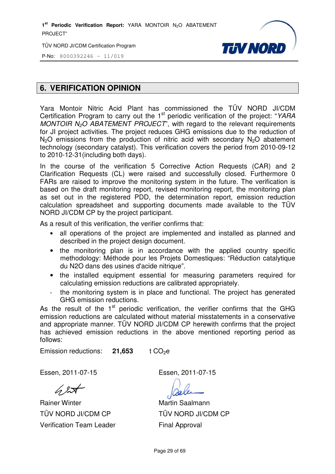1<sup>st</sup> Periodic Verification Report: YARA MONTOIR N<sub>2</sub>O ABATEMENT PROJECT"

TÜV NORD JI/CDM Certification Program



P-No: 8000392246 – 11/019

# **6. VERIFICATION OPINION**

Yara Montoir Nitric Acid Plant has commissioned the TÜV NORD JI/CDM Certification Program to carry out the 1<sup>st</sup> periodic verification of the project: "YARA MONTOIR  $N_2O$  ABATEMENT PROJECT", with regard to the relevant requirements for JI project activities. The project reduces GHG emissions due to the reduction of  $N<sub>2</sub>O$  emissions from the production of nitric acid with secondary  $N<sub>2</sub>O$  abatement technology (secondary catalyst). This verification covers the period from 2010-09-12 to 2010-12-31(including both days).

In the course of the verification 5 Corrective Action Requests (CAR) and 2 Clarification Requests (CL) were raised and successfully closed. Furthermore 0 FARs are raised to improve the monitoring system in the future. The verification is based on the draft monitoring report, revised monitoring report, the monitoring plan as set out in the registered PDD, the determination report, emission reduction calculation spreadsheet and supporting documents made available to the TÜV NORD JI/CDM CP by the project participant.

As a result of this verification, the verifier confirms that:

- all operations of the project are implemented and installed as planned and described in the project design document.
- the monitoring plan is in accordance with the applied country specific methodology: Méthode pour les Projets Domestiques: "Réduction catalytique du N2O dans des usines d'acide nitrique".
- the installed equipment essential for measuring parameters required for calculating emission reductions are calibrated appropriately.
- the monitoring system is in place and functional. The project has generated GHG emission reductions.

As the result of the  $1<sup>st</sup>$  periodic verification, the verifier confirms that the GHG emission reductions are calculated without material misstatements in a conservative and appropriate manner. TÜV NORD JI/CDM CP herewith confirms that the project has achieved emission reductions in the above mentioned reporting period as follows:

Emission reductions: **21,653** t CO<sub>2</sub>e

Essen, 2011-07-15 Essen, 2011-07-15

 $62\pi$ 

Rainer Winter TÜV NORD JI/CDM CP Verification Team Leader

Martin Saalmann TÜV NORD JI/CDM CP Final Approval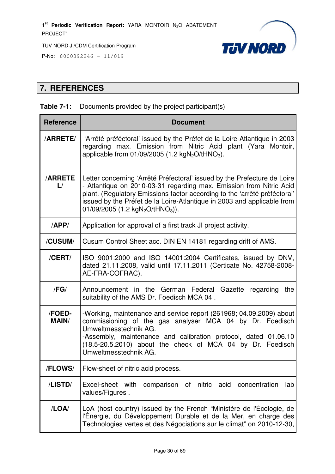

P-No: 8000392246 – 11/019

# **7. REFERENCES**

#### **Table 7-1:** Documents provided by the project participant(s)

| <b>Reference</b>                | <b>Document</b>                                                                                                                                                                                                                                                                                                                                                     |
|---------------------------------|---------------------------------------------------------------------------------------------------------------------------------------------------------------------------------------------------------------------------------------------------------------------------------------------------------------------------------------------------------------------|
| <b>/ARRETE/</b>                 | 'Arrêté préféctoral' issued by the Préfet de la Loire-Atlantique in 2003<br>regarding max. Emission from Nitric Acid plant (Yara Montoir,<br>applicable from $01/09/2005$ (1.2 kgN <sub>2</sub> O/tHNO <sub>3</sub> ).                                                                                                                                              |
| <b>/ARRETE</b><br>$\mathsf{L}/$ | Letter concerning 'Arrêté Préfectoral' issued by the Prefecture de Loire<br>- Atlantique on 2010-03-31 regarding max. Emission from Nitric Acid<br>plant. (Regulatory Emissions factor according to the 'arrêté préféctoral'<br>issued by the Préfet de la Loire-Atlantique in 2003 and applicable from<br>01/09/2005 (1.2 kgN <sub>2</sub> O/tHNO <sub>3</sub> )). |
| APP/                            | Application for approval of a first track JI project activity.                                                                                                                                                                                                                                                                                                      |
| /CUSUM/                         | Cusum Control Sheet acc. DIN EN 14181 regarding drift of AMS.                                                                                                                                                                                                                                                                                                       |
| /CERT/                          | ISO 9001:2000 and ISO 14001:2004 Certificates, issued by DNV,<br>dated 21.11.2008, valid until 17.11.2011 (Certicate No. 42758-2008-<br>AE-FRA-COFRAC).                                                                                                                                                                                                             |
| /FG/                            | Announcement in the German Federal Gazette regarding<br>the<br>suitability of the AMS Dr. Foedisch MCA 04.                                                                                                                                                                                                                                                          |
| /FOED-<br><b>MAIN/</b>          | -Working, maintenance and service report (261968; 04.09.2009) about<br>commissioning of the gas analyser MCA 04 by Dr. Foedisch<br>Umweltmesstechnik AG.<br>-Assembly, maintenance and calibration protocol, dated 01.06.10<br>(18.5-20.5.2010) about the check of MCA 04 by Dr. Foedisch<br>Umweltmesstechnik AG.                                                  |
| /FLOWS/                         | Flow-sheet of nitric acid process.                                                                                                                                                                                                                                                                                                                                  |
| /LISTD/                         | Excel-sheet with<br>of nitric<br>comparison<br>acid<br>concentration<br>lab<br>values/Figures.                                                                                                                                                                                                                                                                      |
| /LOA/                           | LoA (host country) issued by the French "Ministère de l'Écologie, de<br>l'Énergie, du Développement Durable et de la Mer, en charge des<br>Technologies vertes et des Négociations sur le climat" on 2010-12-30,                                                                                                                                                    |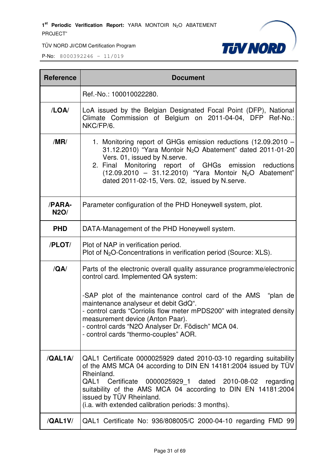

TÜV NORD JI/CDM Certification Program

| <b>Reference</b>      | <b>Document</b>                                                                                                                                                                                                                                                                                                                                                         |
|-----------------------|-------------------------------------------------------------------------------------------------------------------------------------------------------------------------------------------------------------------------------------------------------------------------------------------------------------------------------------------------------------------------|
|                       | Ref.-No.: 100010022280.                                                                                                                                                                                                                                                                                                                                                 |
| /LOA/                 | LoA issued by the Belgian Designated Focal Point (DFP), National<br>Climate Commission of Belgium on 2011-04-04, DFP Ref-No.:<br>NKC/FP/6.                                                                                                                                                                                                                              |
| /MR/                  | 1. Monitoring report of GHGs emission reductions (12.09.2010 -<br>31.12.2010) "Yara Montoir N <sub>2</sub> O Abatement" dated 2011-01-20<br>Vers. 01, issued by N.serve.<br>Monitoring report of GHGs emission<br>reductions<br>2. Final<br>$(12.09.2010 - 31.12.2010)$ "Yara Montoir N <sub>2</sub> O Abatement"<br>dated 2011-02-15, Vers. 02, issued by N.serve.     |
| /PARA-<br><b>N2O/</b> | Parameter configuration of the PHD Honeywell system, plot.                                                                                                                                                                                                                                                                                                              |
| <b>PHD</b>            | DATA-Management of the PHD Honeywell system.                                                                                                                                                                                                                                                                                                                            |
| /PLOT/                | Plot of NAP in verification period.<br>Plot of N <sub>2</sub> O-Concentrations in verification period (Source: XLS).                                                                                                                                                                                                                                                    |
| /QA/                  | Parts of the electronic overall quality assurance programme/electronic<br>control card. Implemented QA system:                                                                                                                                                                                                                                                          |
|                       | -SAP plot of the maintenance control card of the AMS "plan de<br>maintenance analyseur et debit GdQ".<br>- control cards "Corriolis flow meter mPDS200" with integrated density<br>measurement device (Anton Paar).<br>- control cards "N2O Analyser Dr. Födisch" MCA 04.<br>- control cards "thermo-couples" AOR.                                                      |
| /QAL1A                | QAL1 Certificate 0000025929 dated 2010-03-10 regarding suitability<br>of the AMS MCA 04 according to DIN EN 14181:2004 issued by TUV<br>Rheinland.<br>QAL1 Certificate<br>0000025929 1 dated 2010-08-02<br>regarding<br>suitability of the AMS MCA 04 according to DIN EN 14181:2004<br>issued by TÜV Rheinland.<br>(i.a. with extended calibration periods: 3 months). |
| /QAL1V/               | QAL1 Certificate No: 936/808005/C 2000-04-10 regarding FMD 99                                                                                                                                                                                                                                                                                                           |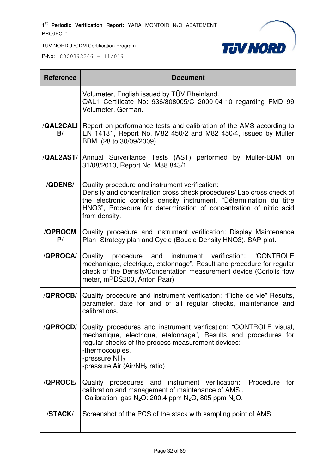1<sup>st</sup> Periodic Verification Report: YARA MONTOIR N<sub>2</sub>O ABATEMENT PROJECT"

TÜV NORD JI/CDM Certification Program



| <b>Reference</b>     | <b>Document</b>                                                                                                                                                                                                                                                                         |
|----------------------|-----------------------------------------------------------------------------------------------------------------------------------------------------------------------------------------------------------------------------------------------------------------------------------------|
|                      | Volumeter, English issued by TÜV Rheinland.<br>QAL1 Certificate No: 936/808005/C 2000-04-10 regarding FMD 99<br>Volumeter, German.                                                                                                                                                      |
| B/                   | /QAL2CALI   Report on performance tests and calibration of the AMS according to<br>EN 14181, Report No. M82 450/2 and M82 450/4, issued by Müller<br>BBM (28 to 30/09/2009).                                                                                                            |
|                      | /QAL2AST/ Annual Surveillance Tests (AST) performed by Müller-BBM<br>on<br>31/08/2010, Report No. M88 843/1.                                                                                                                                                                            |
| <b>/QDENS/</b>       | Quality procedure and instrument verification:<br>Density and concentration cross check procedures/ Lab cross check of<br>the electronic corriolis density instrument. "Détermination du titre<br>HNO3", Procedure for determination of concentration of nitric acid<br>from density.   |
| <b>/QPROCM</b><br>P/ | Quality procedure and instrument verification: Display Maintenance<br>Plan- Strategy plan and Cycle (Boucle Density HNO3), SAP-plot.                                                                                                                                                    |
| /QPROCA/             | instrument verification: "CONTROLE<br>Quality procedure and<br>mechanique, electrique, etalonnage", Result and procedure for regular<br>check of the Density/Concentation measurement device (Coriolis flow<br>meter, mPDS200, Anton Paar)                                              |
| /QPROCB/             | Quality procedure and instrument verification: "Fiche de vie" Results,<br>parameter, date for and of all regular checks, maintenance and<br>calibrations.                                                                                                                               |
| /QPROCD/             | Quality procedures and instrument verification: "CONTROLE visual,<br>mechanique, electrique, etalonnage", Results and procedures for<br>regular checks of the process measurement devices:<br>-thermocouples,<br>-pressure NH <sub>3</sub><br>-pressure Air (Air/NH <sub>3</sub> ratio) |
| /QPROCE/             | Quality procedures and instrument verification: "Procedure<br>for<br>calibration and management of maintenance of AMS.<br>-Calibration gas $N_2O$ : 200.4 ppm $N_2O$ , 805 ppm $N_2O$ .                                                                                                 |
| /STACK/              | Screenshot of the PCS of the stack with sampling point of AMS                                                                                                                                                                                                                           |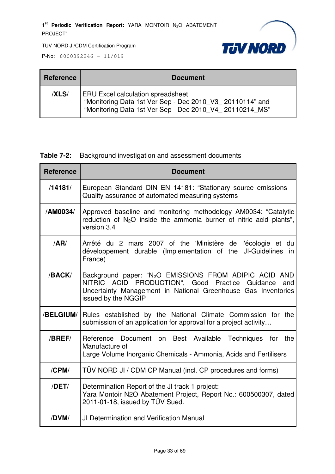

P-No: 8000392246 – 11/019

| <b>Reference</b> | <b>Document</b>                                                                                                                                                 |
|------------------|-----------------------------------------------------------------------------------------------------------------------------------------------------------------|
| <b>XLS/</b>      | <b>ERU Excel calculation spreadsheet</b><br>"Monitoring Data 1st Ver Sep - Dec 2010 V3 20110114" and<br>"Monitoring Data 1st Ver Sep - Dec 2010 V4 20110214 MS" |

#### **Table 7-2:** Background investigation and assessment documents

| <b>Reference</b> | <b>Document</b>                                                                                                                                                                                                      |
|------------------|----------------------------------------------------------------------------------------------------------------------------------------------------------------------------------------------------------------------|
| /14181/          | European Standard DIN EN 14181: "Stationary source emissions -<br>Quality assurance of automated measuring systems                                                                                                   |
| /AM0034/         | Approved baseline and monitoring methodology AM0034: "Catalytic<br>reduction of $N_2O$ inside the ammonia burner of nitric acid plants",<br>version 3.4                                                              |
| /AR/             | Arrêté du 2 mars 2007 of the 'Ministère de l'écologie et du<br>développement durable (Implementation of the JI-Guidelines in<br>France)                                                                              |
| /BACK/           | Background paper: "N <sub>2</sub> O EMISSIONS FROM ADIPIC ACID AND<br>NITRIC ACID PRODUCTION", Good Practice Guidance<br>and<br>Uncertainty Management in National Greenhouse Gas Inventories<br>issued by the NGGIP |
| /BELGIUM/        | Rules established by the National Climate Commission for the<br>submission of an application for approval for a project activity                                                                                     |
| /BREF/           | Reference Document on Best Available Techniques for the<br>Manufacture of<br>Large Volume Inorganic Chemicals - Ammonia, Acids and Fertilisers                                                                       |
| /CPM/            | TÜV NORD JI / CDM CP Manual (incl. CP procedures and forms)                                                                                                                                                          |
| /DET/            | Determination Report of the JI track 1 project:<br>Yara Montoir N2O Abatement Project, Report No.: 600500307, dated<br>2011-01-18, issued by TÜV Sued.                                                               |
| /DVM/            | <b>JI Determination and Verification Manual</b>                                                                                                                                                                      |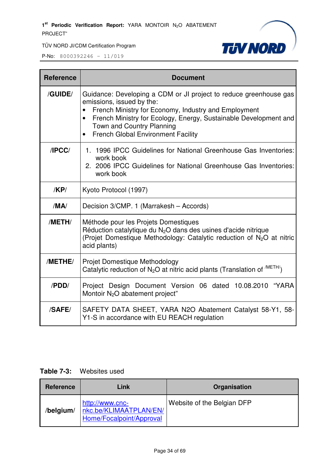

P-No:  $8000392246 - 11/019$ 

| <b>Reference</b> | <b>Document</b>                                                                                                                                                                                                                                                                                                                |
|------------------|--------------------------------------------------------------------------------------------------------------------------------------------------------------------------------------------------------------------------------------------------------------------------------------------------------------------------------|
| /GUIDE/          | Guidance: Developing a CDM or JI project to reduce greenhouse gas<br>emissions, issued by the:<br>French Ministry for Economy, Industry and Employment<br>French Ministry for Ecology, Energy, Sustainable Development and<br>$\bullet$<br>Town and Country Planning<br><b>French Global Environment Facility</b><br>$\bullet$ |
| IPCC/            | 1. 1996 IPCC Guidelines for National Greenhouse Gas Inventories:<br>work book<br>2. 2006 IPCC Guidelines for National Greenhouse Gas Inventories:<br>work book                                                                                                                                                                 |
| /KP/             | Kyoto Protocol (1997)                                                                                                                                                                                                                                                                                                          |
| /MA/             | Decision 3/CMP. 1 (Marrakesh - Accords)                                                                                                                                                                                                                                                                                        |
| /METH/           | Méthode pour les Projets Domestiques<br>Réduction catalytique du N <sub>2</sub> O dans des usines d'acide nitrique<br>(Projet Domestique Methodology: Catalytic reduction of N <sub>2</sub> O at nitric<br>acid plants)                                                                                                        |
| /METHE/          | Projet Domestique Methodology<br>Catalytic reduction of $N_2O$ at nitric acid plants (Translation of $^{/METH/}$ )                                                                                                                                                                                                             |
| /PDD/            | Project Design Document Version 06 dated 10.08.2010 "YARA<br>Montoir N <sub>2</sub> O abatement project"                                                                                                                                                                                                                       |
| /SAFE/           | SAFETY DATA SHEET, YARA N2O Abatement Catalyst 58-Y1, 58-<br>Y1-S in accordance with EU REACH regulation                                                                                                                                                                                                                       |

## **Table 7-3:** Websites used

| Reference | Link                                                                  | Organisation               |
|-----------|-----------------------------------------------------------------------|----------------------------|
| /belgium/ | http://www.cnc-<br>nkc.be/KLIMAATPLAN/EN/<br>Home/Focalpoint/Approval | Website of the Belgian DFP |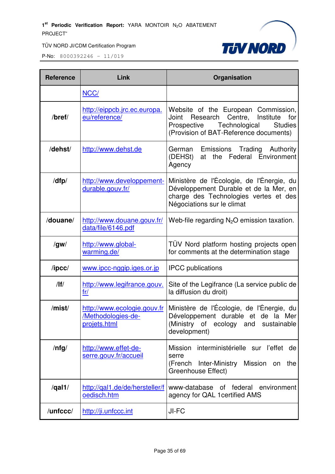

| <b>Reference</b> | Link                                                              | Organisation                                                                                                                                                                        |
|------------------|-------------------------------------------------------------------|-------------------------------------------------------------------------------------------------------------------------------------------------------------------------------------|
|                  | NCC/                                                              |                                                                                                                                                                                     |
| /bref/           | http://eippcb.jrc.ec.europa.<br>eu/reference/                     | Website of the European Commission,<br>Research<br>Centre,<br>Institute<br>Joint<br>for<br>Prospective<br>Technological<br><b>Studies</b><br>(Provision of BAT-Reference documents) |
| /dehst/          | http://www.dehst.de                                               | Emissions Trading Authority<br>German<br>Federal Environment<br>(DEHSt)<br>the<br>at<br>Agency                                                                                      |
| /dfp/            | http://www.developpement-<br>durable.gouv.fr/                     | Ministère de l'Écologie, de l'Énergie, du<br>Développement Durable et de la Mer, en<br>charge des Technologies vertes et des<br>Négociations sur le climat                          |
| /douane/         | http://www.douane.gouv.fr/<br>data/file/6146.pdf                  | Web-file regarding $N_2O$ emission taxation.                                                                                                                                        |
| /gw/             | http://www.global-<br>warming.de/                                 | TÜV Nord platform hosting projects open<br>for comments at the determination stage                                                                                                  |
| $\sqrt{I}$       | www.ipcc-nggip.iges.or.jp                                         | <b>IPCC</b> publications                                                                                                                                                            |
| /                | http://www.legifrance.gouv.<br>fr/                                | Site of the Legifrance (La service public de<br>la diffusion du droit)                                                                                                              |
| /mist/           | http://www.ecologie.gouv.fr<br>/Methodologies-de-<br>projets.html | Ministère de l'Écologie, de l'Énergie, du<br>Développement durable et de la Mer<br>(Ministry of ecology and sustainable<br>development)                                             |
| $/$ nfg $/$      | http://www.effet-de-<br>serre.gouv.fr/accueil                     | Mission interministérielle sur l'effet de<br>serre<br>Mission<br>(French<br>Inter-Ministry<br>the<br>on<br><b>Greenhouse Effect)</b>                                                |
| $\sqrt{qal1/}$   | http://gal1.de/de/hersteller/f<br>oedisch.htm                     | www-database of federal environment<br>agency for QAL 1 certified AMS                                                                                                               |
| /unfccc/         | http://ji.unfccc.int                                              | JI-FC                                                                                                                                                                               |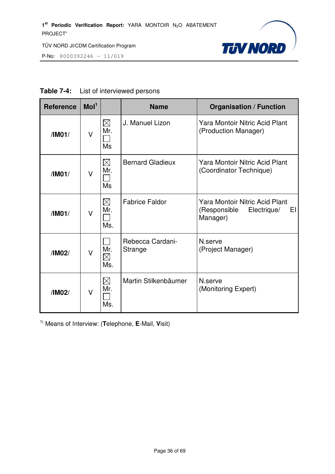

P-No: 8000392246 – 11/019

| <b>Reference</b> | Mol <sup>1</sup> |                                 | <b>Name</b>                 | <b>Organisation / Function</b>                                                         |
|------------------|------------------|---------------------------------|-----------------------------|----------------------------------------------------------------------------------------|
| /IM01/           | $\vee$           | $\boxtimes$<br>Mr.<br>Ms        | J. Manuel Lizon             | <b>Yara Montoir Nitric Acid Plant</b><br>(Production Manager)                          |
| /IMO1/           | V                | $\boxtimes$<br>Mr.<br><b>Ms</b> | <b>Bernard Gladieux</b>     | <b>Yara Montoir Nitric Acid Plant</b><br>(Coordinator Technique)                       |
| /IMO1/           | V                | $\boxtimes$<br>Mr.<br>Ms.       | <b>Fabrice Faldor</b>       | <b>Yara Montoir Nitric Acid Plant</b><br>EI<br>(Responsible<br>Electrique/<br>Manager) |
| /IM02/           | V                | Mr.<br>$\boxtimes$<br>Ms.       | Rebecca Cardani-<br>Strange | N.serve<br>(Project Manager)                                                           |
| /IM02/           | V                | $\times$<br>Mr.<br>Ms.          | Martin Stilkenbäumer        | N.serve<br>(Monitoring Expert)                                                         |

#### **Table 7-4:** List of interviewed persons

1) Means of Interview: (**T**elephone, **E**-Mail, **V**isit)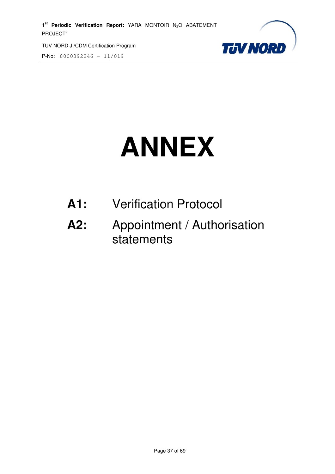1<sup>st</sup> Periodic Verification Report: YARA MONTOIR N<sub>2</sub>O ABATEMENT PROJECT"

TÜV NORD JI/CDM Certification Program

P-No: 8000392246 – 11/019



# **ANNEX**

- **A1:** Verification Protocol
- **A2:** Appointment / Authorisation statements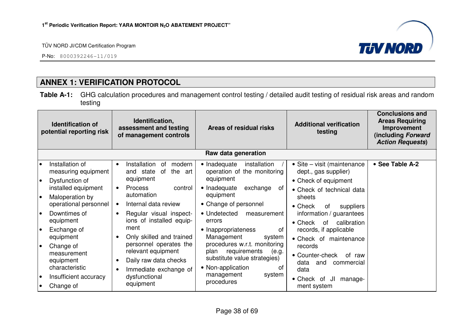P-No: 8000392246-11/019



# **ANNEX 1: VERIFICATION PROTOCOL**

**Table A-1:** GHG calculation procedures and management control testing / detailed audit testing of residual risk areas and random testing

|                        | <b>Identification of</b><br>potential reporting risk            | Identification,<br>assessment and testing<br>of management controls                                         | Areas of residual risks                                                                                                  | <b>Additional verification</b><br>testing                                   | <b>Conclusions and</b><br><b>Areas Requiring</b><br>Improvement<br>(including Forward<br><b>Action Requests)</b> |
|------------------------|-----------------------------------------------------------------|-------------------------------------------------------------------------------------------------------------|--------------------------------------------------------------------------------------------------------------------------|-----------------------------------------------------------------------------|------------------------------------------------------------------------------------------------------------------|
|                        |                                                                 |                                                                                                             | Raw data generation                                                                                                      |                                                                             |                                                                                                                  |
| l o<br>$\bullet$       | Installation of<br>measuring equipment<br>Dysfunction of        | Installation<br>modern<br>0f<br>$\bullet$<br>the<br>and state<br>0f<br>art<br>equipment                     | • Inadequate<br>installation<br>operation of the monitoring<br>equipment                                                 | • Site – visit (maintenance<br>dept., gas supplier)<br>• Check of equipment | • See Table A-2                                                                                                  |
| I۰                     | installed equipment<br>Maloperation by<br>operational personnel | <b>Process</b><br>control<br>$\bullet$<br>automation<br>Internal data review                                | • Inadequate<br>exchange<br>0f<br>equipment<br>• Change of personnel                                                     | • Check of technical data<br>sheets<br>$\bullet$ Check<br>suppliers<br>of   |                                                                                                                  |
| l e                    | Downtimes of<br>equipment                                       | Regular visual inspect-<br>$\bullet$<br>ions of installed equip-                                            | • Undetected<br>measurement<br>errors                                                                                    | information / guarantees<br>calibration<br>$\bullet$ Check<br>of            |                                                                                                                  |
| l o                    | Exchange of<br>equipment                                        | ment<br>Only skilled and trained                                                                            | • Inappropriateness<br>οf<br>Management<br>system                                                                        | records, if applicable<br>• Check of maintenance                            |                                                                                                                  |
| $\bullet$              | Change of<br>measurement<br>equipment<br>characteristic         | personnel operates the<br>relevant equipment<br>Daily raw data checks<br>$\bullet$<br>Immediate exchange of | procedures w.r.t. monitoring<br>requirements<br>plan<br>(e.g.<br>substitute value strategies)<br>• Non-application<br>Ωt | records<br>• Counter-check<br>of raw<br>data<br>and<br>commercial<br>data   |                                                                                                                  |
| $\bullet$<br>$\bullet$ | Insufficient accuracy<br>Change of                              | dysfunctional<br>equipment                                                                                  | management<br>system<br>procedures                                                                                       | JI<br>• Check of<br>manage-<br>ment system                                  |                                                                                                                  |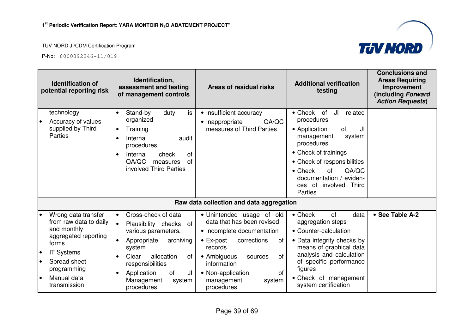

|                                                  | <b>Identification of</b><br>potential reporting risk                                                                                                                             | Identification,<br>assessment and testing<br>of management controls                                                                                                                                                                                    | Areas of residual risks                                                                                                                                                                                                                                           | <b>Additional verification</b><br>testing                                                                                                                                                                                                                                                        | <b>Conclusions and</b><br><b>Areas Requiring</b><br>Improvement<br>(including Forward<br><b>Action Requests)</b> |
|--------------------------------------------------|----------------------------------------------------------------------------------------------------------------------------------------------------------------------------------|--------------------------------------------------------------------------------------------------------------------------------------------------------------------------------------------------------------------------------------------------------|-------------------------------------------------------------------------------------------------------------------------------------------------------------------------------------------------------------------------------------------------------------------|--------------------------------------------------------------------------------------------------------------------------------------------------------------------------------------------------------------------------------------------------------------------------------------------------|------------------------------------------------------------------------------------------------------------------|
| $\bullet$                                        | technology<br>Accuracy of values<br>supplied by Third<br><b>Parties</b>                                                                                                          | is<br>Stand-by<br>duty<br>$\bullet$<br>organized<br>Training<br>Internal<br>audit<br>procedures<br>Internal<br>check<br><b>of</b><br>QA/QC<br>of<br>measures<br>involved Third Parties                                                                 | • Insufficient accuracy<br>QA/QC<br>• Inappropriate<br>measures of Third Parties                                                                                                                                                                                  | $\bullet$ Check<br>of<br>JI<br>related<br>procedures<br>• Application<br><b>of</b><br>JI<br>system<br>management<br>procedures<br>• Check of trainings<br>• Check of responsibilities<br>$\bullet$ Check<br>QA/QC<br><b>of</b><br>documentation /<br>eviden-<br>ces of involved Third<br>Parties |                                                                                                                  |
|                                                  |                                                                                                                                                                                  |                                                                                                                                                                                                                                                        | Raw data collection and data aggregation                                                                                                                                                                                                                          |                                                                                                                                                                                                                                                                                                  |                                                                                                                  |
| $\bullet$<br>$\bullet$<br>$\bullet$<br>$\bullet$ | Wrong data transfer<br>from raw data to daily<br>and monthly<br>aggregated reporting<br>forms<br><b>IT Systems</b><br>Spread sheet<br>programming<br>Manual data<br>transmission | Cross-check of data<br>$\bullet$<br>$\bullet$<br>Plausibility checks of<br>various parameters.<br>Appropriate<br>archiving<br>system<br>allocation<br>Clear<br>0f<br>responsibilities<br>of<br>JI<br>Application<br>Management<br>system<br>procedures | · Unintended usage of old<br>data that has been revised<br>• Incomplete documentation<br>$\bullet$ Ex-post<br>corrections<br>of<br>records<br>• Ambiguous<br>of<br>sources<br>information<br><b>of</b><br>• Non-application<br>management<br>system<br>procedures | $\bullet$ Check<br>of<br>data<br>aggregation steps<br>• Counter-calculation<br>• Data integrity checks by<br>means of graphical data<br>analysis and calculation<br>of specific performance<br>figures<br>• Check of management<br>system certification                                          | • See Table A-2                                                                                                  |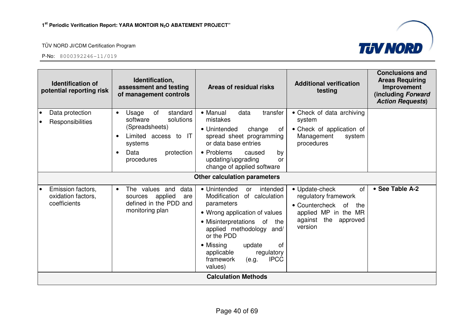

| <b>Identification of</b><br>potential reporting risk    | Identification,<br>assessment and testing<br>of management controls                                                                                                 | Areas of residual risks                                                                                                                                                                                                                                                                              | <b>Additional verification</b><br>testing                                                                                                 | <b>Conclusions and</b><br><b>Areas Requiring</b><br>Improvement<br>(including Forward<br><b>Action Requests)</b> |
|---------------------------------------------------------|---------------------------------------------------------------------------------------------------------------------------------------------------------------------|------------------------------------------------------------------------------------------------------------------------------------------------------------------------------------------------------------------------------------------------------------------------------------------------------|-------------------------------------------------------------------------------------------------------------------------------------------|------------------------------------------------------------------------------------------------------------------|
| Data protection<br>Responsibilities                     | of<br>Usage<br>standard<br>$\bullet$<br>solutions<br>software<br>(Spreadsheets)<br>Limited access to IT<br>systems<br>Data<br>protection<br>$\bullet$<br>procedures | • Manual<br>data<br>transfer<br>mistakes<br>• Unintended<br>change<br>ot<br>spread sheet programming<br>or data base entries<br>• Problems<br>caused<br>by<br>updating/upgrading<br>or<br>change of applied software                                                                                 | • Check of data archiving<br>system<br>• Check of application of<br>Management<br>system<br>procedures                                    |                                                                                                                  |
|                                                         |                                                                                                                                                                     | Other calculation parameters                                                                                                                                                                                                                                                                         |                                                                                                                                           |                                                                                                                  |
| Emission factors,<br>oxidation factors,<br>coefficients | The values and<br>data<br>$\bullet$<br>applied<br>sources<br>are<br>defined in the PDD and<br>monitoring plan                                                       | • Unintended<br>intended<br>or<br>Modification<br>of calculation<br>parameters<br>• Wrong application of values<br>• Misinterpretations of<br>the<br>applied methodology and/<br>or the PDD<br>• Missing<br>of<br>update<br>applicable<br>regulatory<br>framework<br><b>IPCC</b><br>(e.g.<br>values) | • Update-check<br>of<br>regulatory framework<br>• Countercheck of<br>the<br>applied MP in the MR<br>against<br>the<br>approved<br>version | • See Table A-2                                                                                                  |
|                                                         |                                                                                                                                                                     | <b>Calculation Methods</b>                                                                                                                                                                                                                                                                           |                                                                                                                                           |                                                                                                                  |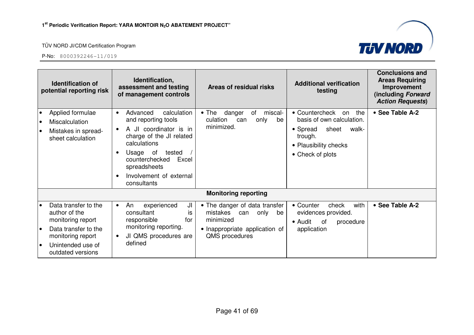

|           | <b>Identification of</b><br>potential reporting risk                                                                                              | Identification,<br>assessment and testing<br>of management controls                                                                                                                                                                          | Areas of residual risks                                                                                                      | <b>Additional verification</b><br>testing                                                                                                      | <b>Conclusions and</b><br><b>Areas Requiring</b><br>Improvement<br>(including Forward<br><b>Action Requests)</b> |
|-----------|---------------------------------------------------------------------------------------------------------------------------------------------------|----------------------------------------------------------------------------------------------------------------------------------------------------------------------------------------------------------------------------------------------|------------------------------------------------------------------------------------------------------------------------------|------------------------------------------------------------------------------------------------------------------------------------------------|------------------------------------------------------------------------------------------------------------------|
|           | Applied formulae<br>Miscalculation<br>Mistakes in spread-<br>sheet calculation                                                                    | Advanced<br>calculation<br>$\bullet$<br>and reporting tools<br>A JI coordinator is in<br>charge of the JI related<br>calculations<br>Usage of<br>tested<br>counterchecked<br>Excel<br>spreadsheets<br>Involvement of external<br>consultants | danger<br>miscal-<br>$\bullet$ The<br>of<br>culation<br>only<br>be<br>can<br>minimized.                                      | • Countercheck<br>the<br>on<br>basis of own calculation.<br>sheet<br>• Spread<br>walk-<br>trough.<br>• Plausibility checks<br>• Check of plots | • See Table A-2                                                                                                  |
|           |                                                                                                                                                   |                                                                                                                                                                                                                                              | <b>Monitoring reporting</b>                                                                                                  |                                                                                                                                                |                                                                                                                  |
| $\bullet$ | Data transfer to the<br>author of the<br>monitoring report<br>Data transfer to the<br>monitoring report<br>Unintended use of<br>outdated versions | ال<br>experienced<br>An<br>$\bullet$<br>consultant<br>İS<br>responsible<br>for<br>monitoring reporting.<br>JI QMS procedures are<br>defined                                                                                                  | • The danger of data transfer<br>mistakes can<br>only<br>be<br>minimized<br>• Inappropriate application of<br>QMS procedures | with<br>• Counter<br>check<br>evidences provided.<br>$\bullet$ Audit<br>0f<br>procedure<br>application                                         | • See Table A-2                                                                                                  |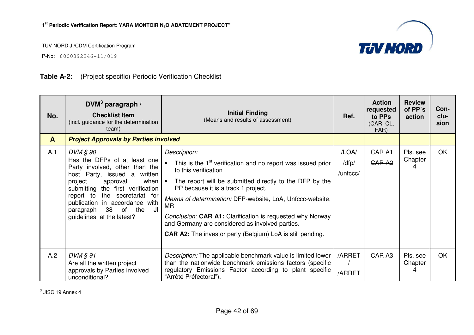

P-No: 8000392246-11/019

#### **Table A-2:** (Project specific) Periodic Verification Checklist

| No.          | $DVM3$ paragraph /<br><b>Checklist Item</b><br>(incl. guidance for the determination<br>team)                                                                                                                                                                                                                           | <b>Initial Finding</b><br>(Means and results of assessment)                                                                                                                                                                                                                                                                                                                                                                                                                | Ref.                       | <b>Action</b><br>requested<br>to PPs<br>(CAR, CL,<br>FAR) | <b>Review</b><br>of PP's<br>action | Con-<br>clu-<br>sion |
|--------------|-------------------------------------------------------------------------------------------------------------------------------------------------------------------------------------------------------------------------------------------------------------------------------------------------------------------------|----------------------------------------------------------------------------------------------------------------------------------------------------------------------------------------------------------------------------------------------------------------------------------------------------------------------------------------------------------------------------------------------------------------------------------------------------------------------------|----------------------------|-----------------------------------------------------------|------------------------------------|----------------------|
| $\mathbf{A}$ | <b>Project Approvals by Parties involved</b>                                                                                                                                                                                                                                                                            |                                                                                                                                                                                                                                                                                                                                                                                                                                                                            |                            |                                                           |                                    |                      |
| A.1          | DVM § 90<br>Has the DFPs of at least one<br>Party involved, other than the<br>host Party, issued a written<br>project<br>when $\cdot$<br>approval<br>submitting the first verification<br>report to the secretariat for<br>publication in accordance with<br>38 of the<br>JI<br>paragraph<br>guidelines, at the latest? | Description:<br>This is the 1 <sup>st</sup> verification and no report was issued prior<br>to this verification<br>The report will be submitted directly to the DFP by the<br>PP because it is a track 1 project.<br>Means of determination: DFP-website, LoA, Unfccc-website,<br>MR.<br>Conclusion: CAR A1: Clarification is requested why Norway<br>and Germany are considered as involved parties.<br><b>CAR A2:</b> The investor party (Belgium) LoA is still pending. | /LOA/<br>/dfp/<br>/unfccc/ | <b>CARA1</b><br>GAR <sub>A2</sub>                         | Pls. see<br>Chapter<br>Δ           | <b>OK</b>            |
| A.2          | DVM § 91<br>Are all the written project<br>approvals by Parties involved<br>unconditional?                                                                                                                                                                                                                              | Description: The applicable benchmark value is limited lower<br>than the nationwide benchmark emissions factors (specific<br>regulatory Emissions Factor according to plant specific<br>"Arrêté Préfectoral").                                                                                                                                                                                                                                                             | /ARRET<br>/ARRET           | GAR <sub>A3</sub>                                         | Pls. see<br>Chapter<br>4           | <b>OK</b>            |

 $3$  JISC 19 Annex 4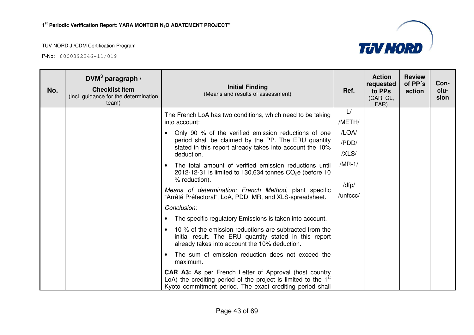

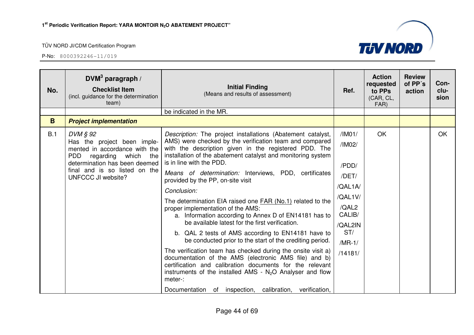P-No: 8000392246-11/019



| No. | $DWM3$ paragraph /<br><b>Checklist Item</b><br>(incl. guidance for the determination<br>team)                                                                                                                      | <b>Initial Finding</b><br>(Means and results of assessment)                                                                                                                                                                                                                                                                                                                                                                                                                                                                                                                                                                                                                                                                                                                                                                                                                                                                                                                                                                                               | Ref.                                                                                                                 | <b>Action</b><br>requested<br>to PPs<br>(CAR, CL,<br>FAR) | <b>Review</b><br>of PP's<br>action | Con-<br>clu-<br>sion |
|-----|--------------------------------------------------------------------------------------------------------------------------------------------------------------------------------------------------------------------|-----------------------------------------------------------------------------------------------------------------------------------------------------------------------------------------------------------------------------------------------------------------------------------------------------------------------------------------------------------------------------------------------------------------------------------------------------------------------------------------------------------------------------------------------------------------------------------------------------------------------------------------------------------------------------------------------------------------------------------------------------------------------------------------------------------------------------------------------------------------------------------------------------------------------------------------------------------------------------------------------------------------------------------------------------------|----------------------------------------------------------------------------------------------------------------------|-----------------------------------------------------------|------------------------------------|----------------------|
|     |                                                                                                                                                                                                                    | be indicated in the MR.                                                                                                                                                                                                                                                                                                                                                                                                                                                                                                                                                                                                                                                                                                                                                                                                                                                                                                                                                                                                                                   |                                                                                                                      |                                                           |                                    |                      |
| B   | <b>Project implementation</b>                                                                                                                                                                                      |                                                                                                                                                                                                                                                                                                                                                                                                                                                                                                                                                                                                                                                                                                                                                                                                                                                                                                                                                                                                                                                           |                                                                                                                      |                                                           |                                    |                      |
| B.1 | DVM § 92<br>Has the project been imple-<br>mented in accordance with the<br><b>PDD</b><br>regarding<br>which<br>the<br>determination has been deemed<br>final and is so listed on the<br><b>UNFCCC JI website?</b> | Description: The project installations (Abatement catalyst,<br>AMS) were checked by the verification team and compared<br>with the description given in the registered PDD. The<br>installation of the abatement catalyst and monitoring system<br>is in line with the PDD.<br>Means of determination: Interviews, PDD, certificates<br>provided by the PP, on-site visit<br>Conclusion:<br>The determination EIA raised one <b>FAR (No.1)</b> related to the<br>proper implementation of the AMS:<br>a. Information according to Annex D of EN14181 has to<br>be available latest for the first verification.<br>b. QAL 2 tests of AMS according to EN14181 have to<br>be conducted prior to the start of the crediting period.<br>The verification team has checked during the onsite visit a)<br>documentation of the AMS (electronic AMS file) and b)<br>certification and calibration documents for the relevant<br>instruments of the installed AMS - $N2O$ Analyser and flow<br>meter-:<br>Documentation of inspection, calibration, verification, | /IMO1/<br>/IM02/<br>/PDD/<br>/DET/<br>/QAL1A/<br>/QAL1V/<br>/QAL2<br>CALIB/<br>/QAL2IN<br>ST/<br>$/MR-1/$<br>/14181/ | OK                                                        |                                    | <b>OK</b>            |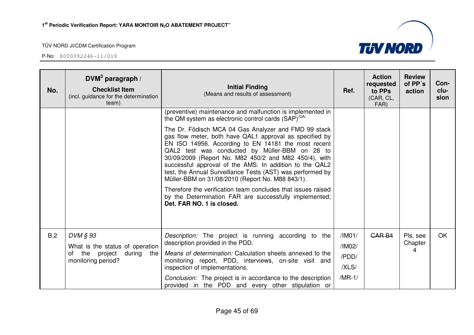

| No. | DVM <sup>3</sup> paragraph /<br><b>Checklist Item</b><br>(incl. guidance for the determination<br>team) | <b>Initial Finding</b><br>(Means and results of assessment)                                                                                                                                                                                                                                                                                                                                                                                                                                                                                                                                                           | Ref.     | <b>Action</b><br>requested<br>to PPs<br>(CAR, CL,<br>FAR) | <b>Review</b><br>of PP's<br>action | Con-<br>clu-<br>sion |
|-----|---------------------------------------------------------------------------------------------------------|-----------------------------------------------------------------------------------------------------------------------------------------------------------------------------------------------------------------------------------------------------------------------------------------------------------------------------------------------------------------------------------------------------------------------------------------------------------------------------------------------------------------------------------------------------------------------------------------------------------------------|----------|-----------------------------------------------------------|------------------------------------|----------------------|
|     |                                                                                                         | (preventive) maintenance and malfunction is implemented in<br>the QM system as electronic control cards $(SAP)^{\sqrt{QA'}}$                                                                                                                                                                                                                                                                                                                                                                                                                                                                                          |          |                                                           |                                    |                      |
|     |                                                                                                         | The Dr. Födisch MCA 04 Gas Analyzer and FMD 99 stack<br>gas flow meter, both have QAL1 approval as specified by<br>EN ISO 14956. According to EN 14181 the most recent<br>QAL2 test was conducted by Müller-BBM on 28 to<br>30/09/2009 (Report No. M82 450/2 and M82 450/4), with<br>successful approval of the AMS. In addition to the QAL2<br>test, the Annual Surveillance Tests (AST) was performed by<br>Müller-BBM on 31/08/2010 (Report No. M88 843/1).<br>Therefore the verification team concludes that issues raised<br>by the Determination FAR are successfully implemented;<br>Det. FAR NO. 1 is closed. |          |                                                           |                                    |                      |
|     |                                                                                                         |                                                                                                                                                                                                                                                                                                                                                                                                                                                                                                                                                                                                                       |          |                                                           |                                    |                      |
| B.2 | $DVM \S 93$                                                                                             | Description: The project is running according to the                                                                                                                                                                                                                                                                                                                                                                                                                                                                                                                                                                  | /IM01/   | <b>CAR B4</b>                                             | Pls. see                           | <b>OK</b>            |
|     | What is the status of operation                                                                         | description provided in the PDD.                                                                                                                                                                                                                                                                                                                                                                                                                                                                                                                                                                                      | /IM02/   |                                                           | Chapter<br>4                       |                      |
|     | the project during the<br>of<br>monitoring period?                                                      | Means of determination: Calculation sheets annexed to the<br>monitoring report, PDD, interviews, on-site visit and                                                                                                                                                                                                                                                                                                                                                                                                                                                                                                    | /PDD/    |                                                           |                                    |                      |
|     |                                                                                                         | inspection of implementations.                                                                                                                                                                                                                                                                                                                                                                                                                                                                                                                                                                                        | /XLS/    |                                                           |                                    |                      |
|     |                                                                                                         | Conclusion: The project is in accordance to the description<br>provided in the PDD and every other stipulation or                                                                                                                                                                                                                                                                                                                                                                                                                                                                                                     | $/MR-1/$ |                                                           |                                    |                      |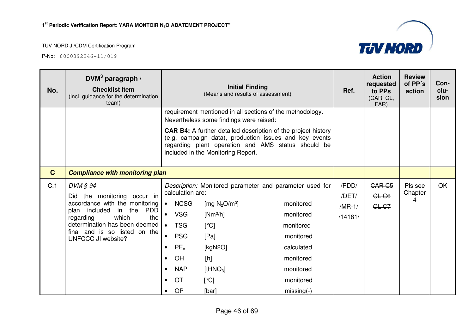

| No.         | DVM <sup>3</sup> paragraph /<br><b>Checklist Item</b><br>(incl. guidance for the determination<br>team) |           |                                                                                                                                                                                                                                                                       | <b>Initial Finding</b><br>(Means and results of assessment) |                                                           | Ref.                   | <b>Action</b><br>requested<br>to PPs<br>(CAR, CL,<br>FAR) | <b>Review</b><br>of PP's<br>action | Con-<br>clu-<br>sion |
|-------------|---------------------------------------------------------------------------------------------------------|-----------|-----------------------------------------------------------------------------------------------------------------------------------------------------------------------------------------------------------------------------------------------------------------------|-------------------------------------------------------------|-----------------------------------------------------------|------------------------|-----------------------------------------------------------|------------------------------------|----------------------|
|             |                                                                                                         |           |                                                                                                                                                                                                                                                                       |                                                             | requirement mentioned in all sections of the methodology. |                        |                                                           |                                    |                      |
|             |                                                                                                         |           | Nevertheless some findings were raised:<br><b>CAR B4:</b> A further detailed description of the project history<br>(e.g. campaign data), production issues and key events<br>regarding plant operation and AMS status should be<br>included in the Monitoring Report. |                                                             |                                                           |                        |                                                           |                                    |                      |
| $\mathbf C$ | <b>Compliance with monitoring plan</b>                                                                  |           |                                                                                                                                                                                                                                                                       |                                                             |                                                           |                        |                                                           |                                    |                      |
| C.1         | DVM § 94<br>Did the monitoring occur in                                                                 |           | Description: Monitored parameter and parameter used for<br>calculation are:                                                                                                                                                                                           |                                                             | /PDD/<br>/DET/                                            | <b>CAR C5</b><br>CL C6 | Pls see<br>Chapter<br>4                                   | <b>OK</b>                          |                      |
|             | accordance with the monitoring<br>plan included in the<br>PDD                                           | $\bullet$ | <b>NCSG</b>                                                                                                                                                                                                                                                           | [mg $N_2O/m^3$ ]                                            | monitored                                                 | $/MR-1/$               | CL-C <sub>7</sub>                                         |                                    |                      |
|             | which<br>the<br>regarding                                                                               | $\bullet$ | <b>VSG</b>                                                                                                                                                                                                                                                            | $[Nm^3/h]$                                                  | monitored                                                 | /14181/                |                                                           |                                    |                      |
|             | determination has been deemed<br>final and is so listed on the                                          | $\bullet$ | <b>TSG</b>                                                                                                                                                                                                                                                            | [°C]                                                        | monitored                                                 |                        |                                                           |                                    |                      |
|             | UNFCCC JI website?                                                                                      | $\bullet$ | <b>PSG</b>                                                                                                                                                                                                                                                            | [Pa]                                                        | monitored                                                 |                        |                                                           |                                    |                      |
|             |                                                                                                         | $\bullet$ | $PE_n$                                                                                                                                                                                                                                                                | [ $kgN2O$ ]                                                 | calculated                                                |                        |                                                           |                                    |                      |
|             |                                                                                                         | $\bullet$ | OH                                                                                                                                                                                                                                                                    | [h]                                                         | monitored                                                 |                        |                                                           |                                    |                      |
|             |                                                                                                         | $\bullet$ | <b>NAP</b>                                                                                                                                                                                                                                                            | [tHNO <sub>3</sub> ]                                        | monitored                                                 |                        |                                                           |                                    |                      |
|             |                                                                                                         | $\bullet$ | <b>OT</b>                                                                                                                                                                                                                                                             | $\lceil \text{°C} \rceil$                                   | monitored                                                 |                        |                                                           |                                    |                      |
|             |                                                                                                         | $\bullet$ | <b>OP</b>                                                                                                                                                                                                                                                             | [bar]                                                       | $missing(-)$                                              |                        |                                                           |                                    |                      |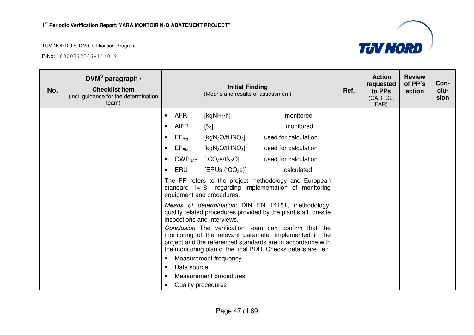

| No. | DVM <sup>3</sup> paragraph /<br><b>Checklist Item</b><br>(incl. guidance for the determination<br>team) |           | <b>Initial Finding</b><br>(Means and results of assessment)                                                                                 |                                         |                                                                                                                                                                                                                                                   |  | <b>Action</b><br>requested<br>to PPs<br>(CAR, CL,<br>FAR) | <b>Review</b><br>of PP's<br>action | Con-<br>clu-<br>sion |
|-----|---------------------------------------------------------------------------------------------------------|-----------|---------------------------------------------------------------------------------------------------------------------------------------------|-----------------------------------------|---------------------------------------------------------------------------------------------------------------------------------------------------------------------------------------------------------------------------------------------------|--|-----------------------------------------------------------|------------------------------------|----------------------|
|     |                                                                                                         | $\bullet$ | <b>AFR</b>                                                                                                                                  | [kg $NH3/h$ ]                           | monitored                                                                                                                                                                                                                                         |  |                                                           |                                    |                      |
|     |                                                                                                         |           | <b>AIFR</b>                                                                                                                                 | $\lceil\% \rceil$                       | monitored                                                                                                                                                                                                                                         |  |                                                           |                                    |                      |
|     |                                                                                                         | ٠         | $EF_{\text{req}}$                                                                                                                           | [kgN <sub>2</sub> O/tHNO <sub>3</sub> ] | used for calculation                                                                                                                                                                                                                              |  |                                                           |                                    |                      |
|     |                                                                                                         | $\bullet$ | $\mathsf{EF}_\mathsf{BM}$                                                                                                                   | [kgN <sub>2</sub> O/tHNO <sub>3</sub> ] | used for calculation                                                                                                                                                                                                                              |  |                                                           |                                    |                      |
|     |                                                                                                         |           | $\mathsf{GWP}_{\mathsf{N2O}}$                                                                                                               | [tCO <sub>2</sub> e/tN <sub>2</sub> O]  | used for calculation                                                                                                                                                                                                                              |  |                                                           |                                    |                      |
|     |                                                                                                         | $\bullet$ | ERU                                                                                                                                         | [ERUs (tCO <sub>2</sub> e)]             | calculated                                                                                                                                                                                                                                        |  |                                                           |                                    |                      |
|     |                                                                                                         |           | The PP refers to the project methodology and European<br>standard 14181 regarding implementation of monitoring<br>equipment and procedures. |                                         |                                                                                                                                                                                                                                                   |  |                                                           |                                    |                      |
|     |                                                                                                         |           |                                                                                                                                             | inspections and interviews.             | Means of determination: DIN EN 14181, methodology,<br>quality related procedures provided by the plant staff, on-site                                                                                                                             |  |                                                           |                                    |                      |
|     |                                                                                                         |           |                                                                                                                                             |                                         | Conclusion The verification team can confirm that the<br>monitoring of the relevant parameter implemented in the<br>project and the referenced standards are in accordance with<br>the monitoring plan of the final PDD. Checks details are i.e.: |  |                                                           |                                    |                      |
|     |                                                                                                         |           |                                                                                                                                             | Measurement frequency                   |                                                                                                                                                                                                                                                   |  |                                                           |                                    |                      |
|     |                                                                                                         |           | Data source                                                                                                                                 | Measurement procedures                  |                                                                                                                                                                                                                                                   |  |                                                           |                                    |                      |
|     |                                                                                                         |           | Quality procedures                                                                                                                          |                                         |                                                                                                                                                                                                                                                   |  |                                                           |                                    |                      |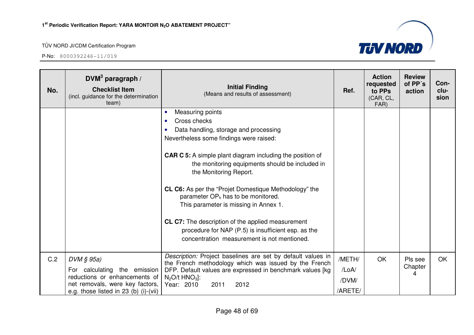

| No. | DVM <sup>3</sup> paragraph /<br><b>Checklist Item</b><br>(incl. guidance for the determination<br>team)                                                   | <b>Initial Finding</b><br>(Means and results of assessment)                                                                                                                                                                                                                                                                                                                                                                                                                                                                                                                        | Ref.                                | <b>Action</b><br>requested<br>to PPs<br>(CAR, CL,<br>FAR) | <b>Review</b><br>of PP's<br>action | Con-<br>clu-<br>sion |
|-----|-----------------------------------------------------------------------------------------------------------------------------------------------------------|------------------------------------------------------------------------------------------------------------------------------------------------------------------------------------------------------------------------------------------------------------------------------------------------------------------------------------------------------------------------------------------------------------------------------------------------------------------------------------------------------------------------------------------------------------------------------------|-------------------------------------|-----------------------------------------------------------|------------------------------------|----------------------|
|     |                                                                                                                                                           | Measuring points<br>Cross checks<br>Data handling, storage and processing<br>Nevertheless some findings were raised:<br><b>CAR C 5:</b> A simple plant diagram including the position of<br>the monitoring equipments should be included in<br>the Monitoring Report.<br><b>CL C6:</b> As per the "Projet Domestique Methodology" the<br>parameter $OP_h$ has to be monitored.<br>This parameter is missing in Annex 1.<br>CL C7: The description of the applied measurement<br>procedure for NAP (P.5) is insufficient esp. as the<br>concentration measurement is not mentioned. |                                     |                                                           |                                    |                      |
| C.2 | DVM § 95a)<br>For calculating the emission<br>reductions or enhancements of<br>net removals, were key factors,<br>e.g. those listed in $23$ (b) (i)-(vii) | Description: Project baselines are set by default values in<br>the French methodology which was issued by the French<br>DFP. Default values are expressed in benchmark values [kg<br>$N_2O/t$ HNO <sub>3</sub> :<br>Year: 2010<br>2012<br>2011                                                                                                                                                                                                                                                                                                                                     | /METH/<br>/LoA/<br>/DVM/<br>/ARETE/ | OK                                                        | Pls see<br>Chapter<br>4            | <b>OK</b>            |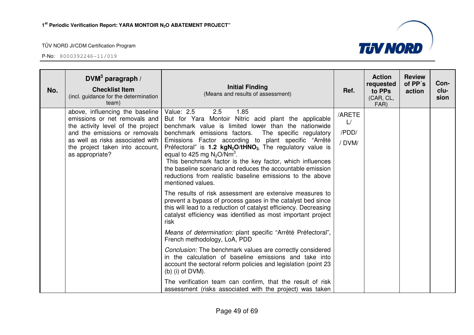

| No. | DVM <sup>3</sup> paragraph /<br><b>Checklist Item</b><br>(incl. guidance for the determination<br>team)                                                                                                                          | <b>Initial Finding</b><br>(Means and results of assessment)                                                                                                                                                                                                                                                                                                                                                                                                                                                                                                                                           | Ref.                          | <b>Action</b><br>requested<br>to PPs<br>(CAR, CL,<br>FAR) | <b>Review</b><br>of PP's<br>action | Con-<br>clu-<br>sion |
|-----|----------------------------------------------------------------------------------------------------------------------------------------------------------------------------------------------------------------------------------|-------------------------------------------------------------------------------------------------------------------------------------------------------------------------------------------------------------------------------------------------------------------------------------------------------------------------------------------------------------------------------------------------------------------------------------------------------------------------------------------------------------------------------------------------------------------------------------------------------|-------------------------------|-----------------------------------------------------------|------------------------------------|----------------------|
|     | above, influencing the baseline<br>emissions or net removals and<br>the activity level of the project<br>and the emissions or removals<br>as well as risks associated with<br>the project taken into account,<br>as appropriate? | Value: 2.5<br>2.5<br>1.85<br>But for Yara Montoir Nitric acid plant the applicable<br>benchmark value is limited lower than the nationwide<br>benchmark emissions factors.<br>The specific regulatory<br>Emissions Factor according to plant specific "Arrêté<br>Préfectoral" is <b>1.2 kgN<sub>2</sub>O/tHNO<sub>3</sub></b> . The regulatory value is<br>equal to 425 mg $N_2O/Nm^3$ .<br>This benchmark factor is the key factor, which influences<br>the baseline scenario and reduces the accountable emission<br>reductions from realistic baseline emissions to the above<br>mentioned values. | /ARETE<br>L/<br>/PDD/<br>DVM/ |                                                           |                                    |                      |
|     |                                                                                                                                                                                                                                  | The results of risk assessment are extensive measures to<br>prevent a bypass of process gases in the catalyst bed since<br>this will lead to a reduction of catalyst efficiency. Decreasing<br>catalyst efficiency was identified as most important project<br>risk                                                                                                                                                                                                                                                                                                                                   |                               |                                                           |                                    |                      |
|     |                                                                                                                                                                                                                                  | Means of determination: plant specific "Arrêté Préfectoral",<br>French methodology, LoA, PDD                                                                                                                                                                                                                                                                                                                                                                                                                                                                                                          |                               |                                                           |                                    |                      |
|     |                                                                                                                                                                                                                                  | Conclusion: The benchmark values are correctly considered<br>in the calculation of baseline emissions and take into<br>account the sectoral reform policies and legislation (point 23<br>$(b)$ (i) of DVM).                                                                                                                                                                                                                                                                                                                                                                                           |                               |                                                           |                                    |                      |
|     |                                                                                                                                                                                                                                  | The verification team can confirm, that the result of risk<br>assessment (risks associated with the project) was taken                                                                                                                                                                                                                                                                                                                                                                                                                                                                                |                               |                                                           |                                    |                      |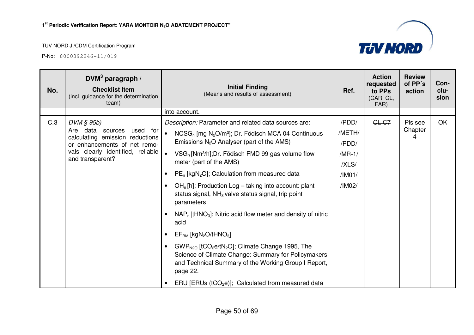

| No. | DVM <sup>3</sup> paragraph /<br><b>Checklist Item</b><br>(incl. guidance for the determination<br>team)                                                                  | <b>Initial Finding</b><br>(Means and results of assessment)                                                                                                                                                                 | Ref.     | <b>Action</b><br>requested<br>to PPs<br>(CAR, CL,<br>FAR) | <b>Review</b><br>of PP's<br>action | Con-<br>clu-<br>sion |
|-----|--------------------------------------------------------------------------------------------------------------------------------------------------------------------------|-----------------------------------------------------------------------------------------------------------------------------------------------------------------------------------------------------------------------------|----------|-----------------------------------------------------------|------------------------------------|----------------------|
|     |                                                                                                                                                                          | into account.                                                                                                                                                                                                               |          |                                                           |                                    |                      |
| C.3 | $DVM \S 95b$<br>Are data sources<br>used for<br>calculating emission reductions<br>or enhancements of net remo-<br>vals clearly identified, reliable<br>and transparent? | Description: Parameter and related data sources are:                                                                                                                                                                        | /PDD/    | GL-G7                                                     | Pls see                            | OK                   |
|     |                                                                                                                                                                          | $\bullet$<br>$NCSG_n$ [mg N <sub>2</sub> O/m <sup>3</sup> ]; Dr. Födisch MCA 04 Continuous<br>Emissions $N_2O$ Analyser (part of the AMS)                                                                                   | /METH/   |                                                           | Chapter                            |                      |
|     |                                                                                                                                                                          |                                                                                                                                                                                                                             | /PDD/    |                                                           |                                    |                      |
|     |                                                                                                                                                                          | $\bullet$<br>VSG <sub>n</sub> [Nm <sup>3</sup> /h]; Dr. Födisch FMD 99 gas volume flow<br>meter (part of the AMS)                                                                                                           | $/MR-1/$ |                                                           |                                    |                      |
|     |                                                                                                                                                                          |                                                                                                                                                                                                                             | /XLS/    |                                                           |                                    |                      |
|     |                                                                                                                                                                          | PE <sub>n</sub> [kgN <sub>2</sub> O]; Calculation from measured data<br>$\bullet$                                                                                                                                           | /IM01/   |                                                           |                                    |                      |
|     |                                                                                                                                                                          | $OHn[h]$ ; Production Log – taking into account: plant<br>$\bullet$<br>status signal, $NH3$ valve status signal, trip point<br>parameters                                                                                   | /IM02/   |                                                           |                                    |                      |
|     |                                                                                                                                                                          | $NAP_n$ [tHNO <sub>3</sub> ]; Nitric acid flow meter and density of nitric<br>$\bullet$<br>acid                                                                                                                             |          |                                                           |                                    |                      |
|     |                                                                                                                                                                          | $EF_{BM}$ [kgN <sub>2</sub> O/tHNO <sub>3</sub> ]<br>$\bullet$                                                                                                                                                              |          |                                                           |                                    |                      |
|     |                                                                                                                                                                          | GWP <sub>N2O</sub> [tCO <sub>2</sub> e/tN <sub>2</sub> O]; Climate Change 1995, The<br>$\bullet$<br>Science of Climate Change: Summary for Policymakers<br>and Technical Summary of the Working Group I Report,<br>page 22. |          |                                                           |                                    |                      |
|     |                                                                                                                                                                          | ERU [ERUs ( $tCO2e$ )]; Calculated from measured data<br>$\bullet$                                                                                                                                                          |          |                                                           |                                    |                      |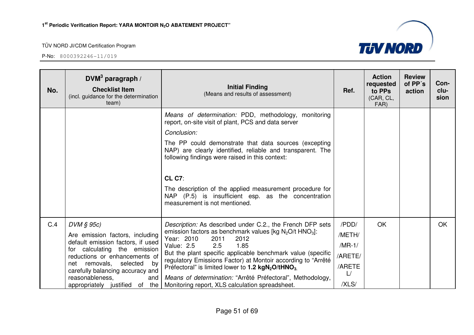

| No. | DVM <sup>3</sup> paragraph /<br><b>Checklist Item</b><br>(incl. guidance for the determination<br>team)                                                                                                                                                                                     | <b>Initial Finding</b><br>(Means and results of assessment)                                                                                                                                                                                                                                                                                                                                                                                                                                                         | Ref.                                                            | <b>Action</b><br>requested<br>to PPs<br>(CAR, CL,<br>FAR) | <b>Review</b><br>of PP's<br>action | Con-<br>clu-<br>sion |
|-----|---------------------------------------------------------------------------------------------------------------------------------------------------------------------------------------------------------------------------------------------------------------------------------------------|---------------------------------------------------------------------------------------------------------------------------------------------------------------------------------------------------------------------------------------------------------------------------------------------------------------------------------------------------------------------------------------------------------------------------------------------------------------------------------------------------------------------|-----------------------------------------------------------------|-----------------------------------------------------------|------------------------------------|----------------------|
|     |                                                                                                                                                                                                                                                                                             | Means of determination: PDD, methodology, monitoring<br>report, on-site visit of plant, PCS and data server<br>Conclusion:<br>The PP could demonstrate that data sources (excepting<br>NAP) are clearly identified, reliable and transparent. The<br>following findings were raised in this context:<br><b>CL C7:</b><br>The description of the applied measurement procedure for<br>NAP (P.5) is insufficient esp. as the concentration<br>measurement is not mentioned.                                           |                                                                 |                                                           |                                    |                      |
| C.4 | $DVM \S 95c$<br>Are emission factors, including<br>default emission factors, if used<br>for calculating the emission<br>reductions or enhancements of<br>removals,<br>selected<br>net<br>by<br>carefully balancing accuracy and<br>reasonableness,<br>and<br>appropriately justified of the | Description: As described under C.2., the French DFP sets<br>emission factors as benchmark values [kg $N_2O/t$ HNO <sub>3</sub> ]:<br>Year: 2010<br>2011<br>2012<br>Value: 2.5<br>2.5<br>1.85<br>But the plant specific applicable benchmark value (specific<br>regulatory Emissions Factor) at Montoir according to "Arrêté"<br>Préfectoral" is limited lower to 1.2 $kgN_2O$ /tHNO <sub>3.</sub><br>Means of determination: "Arrêté Préfectoral", Methodology,<br>Monitoring report, XLS calculation spreadsheet. | /PDD/<br>/METH/<br>$/MR-1/$<br>/ARETE/<br>/ARETE<br>L/<br>/XLS/ | OK                                                        |                                    | <b>OK</b>            |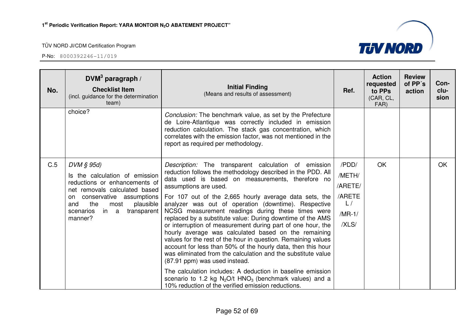

| No. | DVM <sup>3</sup> paragraph /<br><b>Checklist Item</b><br>(incl. guidance for the determination<br>team)                                                                                                                              | <b>Initial Finding</b><br>(Means and results of assessment)                                                                                                                                                                                                                                                                                                                                                                                                                                                                                                                                                                                                                                                                                                                                                                                                  | Ref.                                                            | <b>Action</b><br>requested<br>to PPs<br>(CAR, CL,<br>FAR) | <b>Review</b><br>of PP's<br>action | Con-<br>clu-<br>sion |
|-----|--------------------------------------------------------------------------------------------------------------------------------------------------------------------------------------------------------------------------------------|--------------------------------------------------------------------------------------------------------------------------------------------------------------------------------------------------------------------------------------------------------------------------------------------------------------------------------------------------------------------------------------------------------------------------------------------------------------------------------------------------------------------------------------------------------------------------------------------------------------------------------------------------------------------------------------------------------------------------------------------------------------------------------------------------------------------------------------------------------------|-----------------------------------------------------------------|-----------------------------------------------------------|------------------------------------|----------------------|
|     | choice?                                                                                                                                                                                                                              | Conclusion: The benchmark value, as set by the Prefecture<br>de Loire-Atlantique was correctly included in emission<br>reduction calculation. The stack gas concentration, which<br>correlates with the emission factor, was not mentioned in the<br>report as required per methodology.                                                                                                                                                                                                                                                                                                                                                                                                                                                                                                                                                                     |                                                                 |                                                           |                                    |                      |
| C.5 | $DVM \S 95d$<br>Is the calculation of emission<br>reductions or enhancements of<br>net removals calculated based<br>conservative assumptions<br>on<br>the<br>and<br>most<br>plausible<br>in a<br>transparent<br>scenarios<br>manner? | Description: The transparent calculation of emission<br>reduction follows the methodology described in the PDD. All<br>data used is based on measurements, therefore no<br>assumptions are used.<br>For 107 out of the 2,665 hourly average data sets, the<br>analyzer was out of operation (downtime). Respective<br>NCSG measurement readings during these times were<br>replaced by a substitute value: During downtime of the AMS<br>or interruption of measurement during part of one hour, the<br>hourly average was calculated based on the remaining<br>values for the rest of the hour in question. Remaining values<br>account for less than 50% of the hourly data, then this hour<br>was eliminated from the calculation and the substitute value<br>(87.91 ppm) was used instead.<br>The calculation includes: A deduction in baseline emission | /PDD/<br>/METH/<br>/ARETE/<br>/ARETE<br>L/<br>$/MR-1/$<br>/XLS/ | OK                                                        |                                    | <b>OK</b>            |
|     |                                                                                                                                                                                                                                      | scenario to 1.2 kg $N_2O/t$ HNO <sub>3</sub> (benchmark values) and a<br>10% reduction of the verified emission reductions.                                                                                                                                                                                                                                                                                                                                                                                                                                                                                                                                                                                                                                                                                                                                  |                                                                 |                                                           |                                    |                      |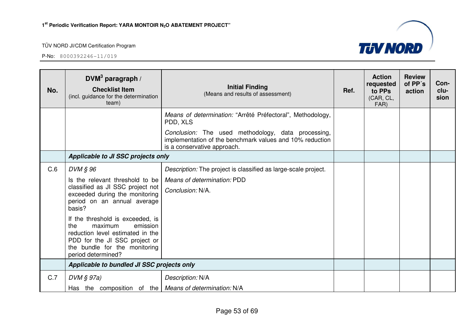

| No. | DVM <sup>3</sup> paragraph /<br><b>Checklist Item</b><br>(incl. guidance for the determination<br>team)                                                                                                                                                                                                                                      | <b>Initial Finding</b><br>(Means and results of assessment)                                                                                   | Ref. | <b>Action</b><br>requested<br>to PPs<br>(CAR, CL,<br>FAR) | <b>Review</b><br>of PP's<br>action | Con-<br>clu-<br>sion |
|-----|----------------------------------------------------------------------------------------------------------------------------------------------------------------------------------------------------------------------------------------------------------------------------------------------------------------------------------------------|-----------------------------------------------------------------------------------------------------------------------------------------------|------|-----------------------------------------------------------|------------------------------------|----------------------|
|     |                                                                                                                                                                                                                                                                                                                                              | Means of determination: "Arrêté Préfectoral", Methodology,<br>PDD, XLS                                                                        |      |                                                           |                                    |                      |
|     |                                                                                                                                                                                                                                                                                                                                              | Conclusion: The used methodology, data processing,<br>implementation of the benchmark values and 10% reduction<br>is a conservative approach. |      |                                                           |                                    |                      |
|     | Applicable to JI SSC projects only                                                                                                                                                                                                                                                                                                           |                                                                                                                                               |      |                                                           |                                    |                      |
| C.6 | DVM § 96                                                                                                                                                                                                                                                                                                                                     | Description: The project is classified as large-scale project.                                                                                |      |                                                           |                                    |                      |
|     | Is the relevant threshold to be<br>classified as JI SSC project not<br>exceeded during the monitoring<br>period on an annual average<br>basis?<br>If the threshold is exceeded, is<br>the<br>maximum<br>emission<br>reduction level estimated in the<br>PDD for the JI SSC project or<br>the bundle for the monitoring<br>period determined? | Means of determination: PDD<br>Conclusion: N/A.                                                                                               |      |                                                           |                                    |                      |
|     | Applicable to bundled JI SSC projects only                                                                                                                                                                                                                                                                                                   |                                                                                                                                               |      |                                                           |                                    |                      |
| C.7 | $DVM \S 97a)$                                                                                                                                                                                                                                                                                                                                | Description: N/A                                                                                                                              |      |                                                           |                                    |                      |
|     | Has the composition of the   Means of determination: N/A                                                                                                                                                                                                                                                                                     |                                                                                                                                               |      |                                                           |                                    |                      |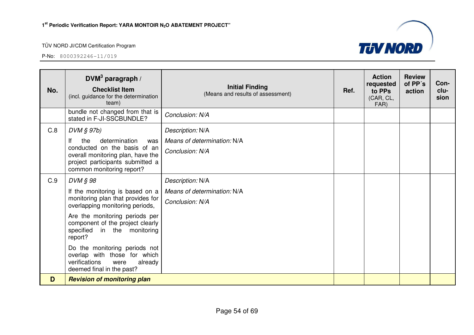

| No. | DVM <sup>3</sup> paragraph /<br><b>Checklist Item</b><br>(incl. guidance for the determination<br>team)                        | <b>Initial Finding</b><br>(Means and results of assessment)        | Ref. | <b>Action</b><br>requested<br>to PPs<br>(CAR, CL,<br>FAR) | <b>Review</b><br>of PP's<br>action | Con-<br>clu-<br>sion |
|-----|--------------------------------------------------------------------------------------------------------------------------------|--------------------------------------------------------------------|------|-----------------------------------------------------------|------------------------------------|----------------------|
|     | bundle not changed from that is<br>stated in F-JI-SSCBUNDLE?                                                                   | Conclusion: N/A                                                    |      |                                                           |                                    |                      |
| C.8 | $DVM \S 97b$<br>the<br>determination<br>Ιf<br>was<br>conducted on the basis of an<br>overall monitoring plan, have the         | Description: N/A<br>Means of determination: N/A<br>Conclusion: N/A |      |                                                           |                                    |                      |
|     | project participants submitted a<br>common monitoring report?                                                                  |                                                                    |      |                                                           |                                    |                      |
| C.9 | DVM § 98                                                                                                                       | Description: N/A                                                   |      |                                                           |                                    |                      |
|     | If the monitoring is based on a<br>monitoring plan that provides for<br>overlapping monitoring periods,                        | Means of determination: N/A<br>Conclusion: N/A                     |      |                                                           |                                    |                      |
|     | Are the monitoring periods per<br>component of the project clearly<br>specified in the monitoring<br>report?                   |                                                                    |      |                                                           |                                    |                      |
|     | Do the monitoring periods not<br>overlap with those for which<br>verifications<br>already<br>were<br>deemed final in the past? |                                                                    |      |                                                           |                                    |                      |
| D   | <b>Revision of monitoring plan</b>                                                                                             |                                                                    |      |                                                           |                                    |                      |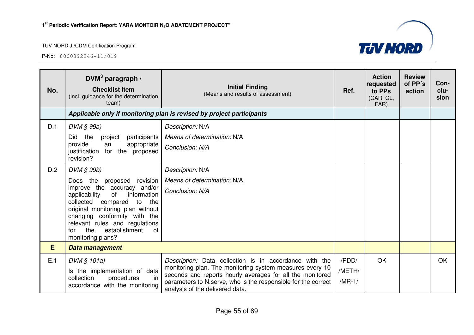

| No. | DVM <sup>3</sup> paragraph /<br><b>Checklist Item</b><br>(incl. guidance for the determination<br>team)                                                                                                                                                                                                      | <b>Initial Finding</b><br>(Means and results of assessment)                                                                                                                                                                                                                         | Ref.                        | <b>Action</b><br>requested<br>to PPs<br>(CAR, CL,<br>FAR) | <b>Review</b><br>of PP's<br>action | Con-<br>clu-<br>sion |
|-----|--------------------------------------------------------------------------------------------------------------------------------------------------------------------------------------------------------------------------------------------------------------------------------------------------------------|-------------------------------------------------------------------------------------------------------------------------------------------------------------------------------------------------------------------------------------------------------------------------------------|-----------------------------|-----------------------------------------------------------|------------------------------------|----------------------|
|     |                                                                                                                                                                                                                                                                                                              | Applicable only if monitoring plan is revised by project participants                                                                                                                                                                                                               |                             |                                                           |                                    |                      |
| D.1 | DVM § 99a)                                                                                                                                                                                                                                                                                                   | Description: N/A                                                                                                                                                                                                                                                                    |                             |                                                           |                                    |                      |
|     | Did the<br>participants<br>project                                                                                                                                                                                                                                                                           | Means of determination: N/A                                                                                                                                                                                                                                                         |                             |                                                           |                                    |                      |
|     | provide<br>appropriate<br>an<br>justification for the proposed<br>revision?                                                                                                                                                                                                                                  | Conclusion: N/A                                                                                                                                                                                                                                                                     |                             |                                                           |                                    |                      |
| D.2 | DVM § 99b)                                                                                                                                                                                                                                                                                                   | Description: N/A                                                                                                                                                                                                                                                                    |                             |                                                           |                                    |                      |
|     | Does the proposed revision<br>improve the accuracy and/or<br>information<br>applicability<br>of<br>collected<br>compared<br>to<br>the<br>original monitoring plan without<br>changing conformity with the<br>relevant rules and regulations<br>establishment<br>the<br><b>of</b><br>for<br>monitoring plans? | Means of determination: N/A<br>Conclusion: N/A                                                                                                                                                                                                                                      |                             |                                                           |                                    |                      |
| E   | Data management                                                                                                                                                                                                                                                                                              |                                                                                                                                                                                                                                                                                     |                             |                                                           |                                    |                      |
| E.1 | DVM § 101a)<br>Is the implementation of data<br>in<br>collection<br>procedures<br>accordance with the monitoring                                                                                                                                                                                             | Description: Data collection is in accordance with the<br>monitoring plan. The monitoring system measures every 10<br>seconds and reports hourly averages for all the monitored<br>parameters to N.serve, who is the responsible for the correct<br>analysis of the delivered data. | /PDD/<br>/METH/<br>$/MR-1/$ | <b>OK</b>                                                 |                                    | <b>OK</b>            |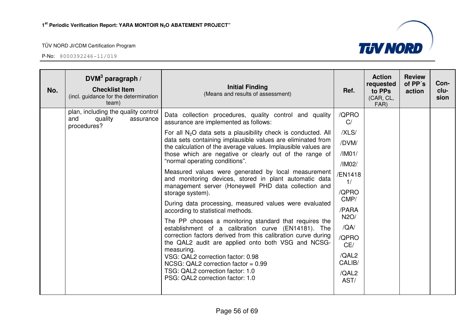

| No. | DVM <sup>3</sup> paragraph /<br><b>Checklist Item</b><br>(incl. guidance for the determination<br>team) | <b>Initial Finding</b><br>(Means and results of assessment)                                                                                                                                                                                                                                                                                                                                                                                                                                                                                                                                                                                                                                                                                                                                                                                                                                                                                                                                                                                                                                              | Ref.                                                                                                                                                             | <b>Action</b><br>requested<br>to PPs<br>(CAR, CL,<br>FAR) | <b>Review</b><br>of PP's<br>action | Con-<br>clu-<br>sion |
|-----|---------------------------------------------------------------------------------------------------------|----------------------------------------------------------------------------------------------------------------------------------------------------------------------------------------------------------------------------------------------------------------------------------------------------------------------------------------------------------------------------------------------------------------------------------------------------------------------------------------------------------------------------------------------------------------------------------------------------------------------------------------------------------------------------------------------------------------------------------------------------------------------------------------------------------------------------------------------------------------------------------------------------------------------------------------------------------------------------------------------------------------------------------------------------------------------------------------------------------|------------------------------------------------------------------------------------------------------------------------------------------------------------------|-----------------------------------------------------------|------------------------------------|----------------------|
|     | plan, including the quality control<br>quality<br>and<br>assurance<br>procedures?                       | Data collection procedures, quality control and quality<br>assurance are implemented as follows:<br>For all $N_2O$ data sets a plausibility check is conducted. All<br>data sets containing implausible values are eliminated from<br>the calculation of the average values. Implausible values are<br>those which are negative or clearly out of the range of<br>"normal operating conditions".<br>Measured values were generated by local measurement<br>and monitoring devices, stored in plant automatic data<br>management server (Honeywell PHD data collection and<br>storage system).<br>During data processing, measured values were evaluated<br>according to statistical methods.<br>The PP chooses a monitoring standard that requires the<br>establishment of a calibration curve (EN14181). The<br>correction factors derived from this calibration curve during<br>the QAL2 audit are applied onto both VSG and NCSG-<br>measuring.<br>VSG: QAL2 correction factor: 0.98<br>NCSG: QAL2 correction factor = $0.99$<br>TSG: QAL2 correction factor: 1.0<br>PSG: QAL2 correction factor: 1.0 | /QPRO<br>C/<br>/XLS/<br>/DVM/<br>/IMO1/<br>/IM02/<br>/EN1418<br>1/<br>/QPRO<br>CMP/<br>/PARA<br>N2O/<br>/QA/<br>/QPRO<br>CE/<br>/QAL2<br>CALIB/<br>/QAL2<br>AST/ |                                                           |                                    |                      |
|     |                                                                                                         |                                                                                                                                                                                                                                                                                                                                                                                                                                                                                                                                                                                                                                                                                                                                                                                                                                                                                                                                                                                                                                                                                                          |                                                                                                                                                                  |                                                           |                                    |                      |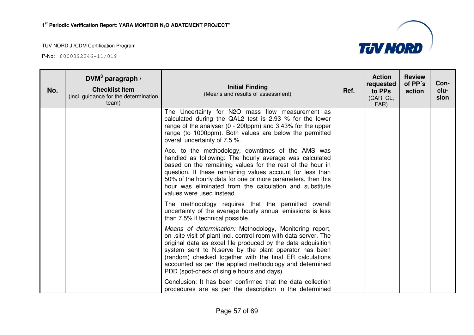

| No. | $DWM3$ paragraph /<br><b>Checklist Item</b><br>(incl. guidance for the determination<br>team) | <b>Initial Finding</b><br>(Means and results of assessment)                                                                                                                                                                                                                                                                                                                                                               | Ref. | <b>Action</b><br>requested<br>to PPs<br>(CAR, CL,<br>FAR) | <b>Review</b><br>of PP's<br>action | Con-<br>clu-<br>sion |
|-----|-----------------------------------------------------------------------------------------------|---------------------------------------------------------------------------------------------------------------------------------------------------------------------------------------------------------------------------------------------------------------------------------------------------------------------------------------------------------------------------------------------------------------------------|------|-----------------------------------------------------------|------------------------------------|----------------------|
|     |                                                                                               | The Uncertainty for N2O mass flow measurement as<br>calculated during the QAL2 test is 2.93 % for the lower<br>range of the analyser (0 - 200ppm) and 3.43% for the upper<br>range (to 1000ppm). Both values are below the permitted<br>overall uncertainty of 7.5 %.                                                                                                                                                     |      |                                                           |                                    |                      |
|     |                                                                                               | Acc. to the methodology, downtimes of the AMS was<br>handled as following: The hourly average was calculated<br>based on the remaining values for the rest of the hour in<br>question. If these remaining values account for less than<br>50% of the hourly data for one or more parameters, then this<br>hour was eliminated from the calculation and substitute<br>values were used instead.                            |      |                                                           |                                    |                      |
|     |                                                                                               | The methodology requires that the permitted overall<br>uncertainty of the average hourly annual emissions is less<br>than 7.5% if technical possible.                                                                                                                                                                                                                                                                     |      |                                                           |                                    |                      |
|     |                                                                                               | Means of determination: Methodology, Monitoring report,<br>on-.site visit of plant incl. control room with data server. The<br>original data as excel file produced by the data adquisition<br>system sent to N.serve by the plant operator has been<br>(random) checked together with the final ER calculations<br>accounted as per the applied methodology and determined<br>PDD (spot-check of single hours and days). |      |                                                           |                                    |                      |
|     |                                                                                               | Conclusion: It has been confirmed that the data collection<br>procedures are as per the description in the determined                                                                                                                                                                                                                                                                                                     |      |                                                           |                                    |                      |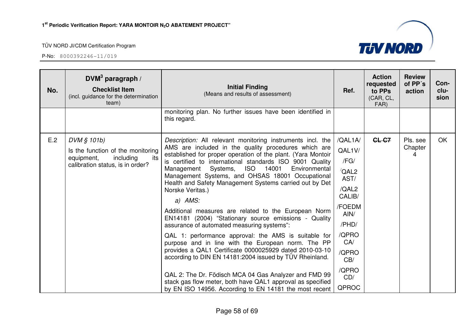

| No. | DVM <sup>3</sup> paragraph /<br><b>Checklist Item</b><br>(incl. guidance for the determination<br>team)                | <b>Initial Finding</b><br>(Means and results of assessment)                                                                                                                                                                                                                                                                                                                                                                                                                                                                                                                                                                                                                                                                                                                                                                                                                                                                                                                                                                             | Ref.                                                                                                                                                               | <b>Action</b><br>requested<br>to PPs<br>(CAR, CL,<br>FAR) | <b>Review</b><br>of PP's<br>action | Con-<br>clu-<br>sion |
|-----|------------------------------------------------------------------------------------------------------------------------|-----------------------------------------------------------------------------------------------------------------------------------------------------------------------------------------------------------------------------------------------------------------------------------------------------------------------------------------------------------------------------------------------------------------------------------------------------------------------------------------------------------------------------------------------------------------------------------------------------------------------------------------------------------------------------------------------------------------------------------------------------------------------------------------------------------------------------------------------------------------------------------------------------------------------------------------------------------------------------------------------------------------------------------------|--------------------------------------------------------------------------------------------------------------------------------------------------------------------|-----------------------------------------------------------|------------------------------------|----------------------|
|     |                                                                                                                        | monitoring plan. No further issues have been identified in<br>this regard.                                                                                                                                                                                                                                                                                                                                                                                                                                                                                                                                                                                                                                                                                                                                                                                                                                                                                                                                                              |                                                                                                                                                                    |                                                           |                                    |                      |
| E.2 | DVM § 101b)<br>Is the function of the monitoring<br>equipment,<br>including<br>its<br>calibration status, is in order? | Description: All relevant monitoring instruments incl. the<br>AMS are included in the quality procedures which are<br>established for proper operation of the plant. (Yara Montoir<br>is certified to international standards ISO 9001 Quality<br>Systems, ISO 14001<br>Environmental<br>Management<br>Management Systems, and OHSAS 18001 Occupational<br>Health and Safety Management Systems carried out by Det<br>Norske Veritas.)<br>$a)$ AMS:<br>Additional measures are related to the European Norm<br>EN14181 (2004) "Stationary source emissions - Quality<br>assurance of automated measuring systems":<br>QAL 1: performance approval: the AMS is suitable for<br>purpose and in line with the European norm. The PP<br>provides a QAL1 Certificate 0000025929 dated 2010-03-10<br>according to DIN EN 14181:2004 issued by TÜV Rheinland.<br>QAL 2: The Dr. Födisch MCA 04 Gas Analyzer and FMD 99<br>stack gas flow meter, both have QAL1 approval as specified<br>by EN ISO 14956. According to EN 14181 the most recent | /QAL1A/<br>QAL1V/<br>/FG/<br>$\sqrt{\mathsf{QAL2}}$<br>AST/<br>/QAL2<br>CALIB/<br>/FOEDM<br>AIN/<br>/PHD/<br>/QPRO<br>CA/<br>/QPRO<br>CB/<br>/QPRO<br>CD/<br>QPROC | CL-C7                                                     | Pls. see<br>Chapter<br>4           | OK                   |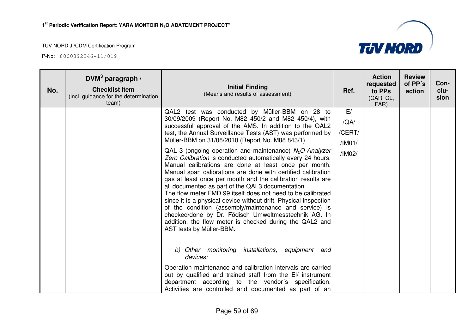

| No. | DVM <sup>3</sup> paragraph /<br><b>Checklist Item</b><br>(incl. guidance for the determination<br>team) | <b>Initial Finding</b><br>(Means and results of assessment)                                                                                                                                                                                                                                                                                                                                                                                                                                                                                                                                                                                                                                                                                                                                                                                                                                                                                                                                               | Ref.                                     | <b>Action</b><br>requested<br>to PPs<br>(CAR, CL,<br>FAR) | <b>Review</b><br>of PP's<br>action | Con-<br>clu-<br>sion |
|-----|---------------------------------------------------------------------------------------------------------|-----------------------------------------------------------------------------------------------------------------------------------------------------------------------------------------------------------------------------------------------------------------------------------------------------------------------------------------------------------------------------------------------------------------------------------------------------------------------------------------------------------------------------------------------------------------------------------------------------------------------------------------------------------------------------------------------------------------------------------------------------------------------------------------------------------------------------------------------------------------------------------------------------------------------------------------------------------------------------------------------------------|------------------------------------------|-----------------------------------------------------------|------------------------------------|----------------------|
|     |                                                                                                         | QAL2 test was conducted by Müller-BBM on 28 to<br>30/09/2009 (Report No. M82 450/2 and M82 450/4), with<br>successful approval of the AMS. In addition to the QAL2<br>test, the Annual Surveillance Tests (AST) was performed by<br>Müller-BBM on 31/08/2010 (Report No. M88 843/1).<br>QAL 3 (ongoing operation and maintenance) $N2O$ -Analyzer<br>Zero Calibration is conducted automatically every 24 hours.<br>Manual calibrations are done at least once per month.<br>Manual span calibrations are done with certified calibration<br>gas at least once per month and the calibration results are<br>all documented as part of the QAL3 documentation.<br>The flow meter FMD 99 itself does not need to be calibrated<br>since it is a physical device without drift. Physical inspection<br>of the condition (assembly/maintenance and service) is<br>checked/done by Dr. Födisch Umweltmesstechnik AG. In<br>addition, the flow meter is checked during the QAL2 and<br>AST tests by Müller-BBM. | E/<br>/QA/<br>/CERT/<br>/IMO1/<br>/IM02/ |                                                           |                                    |                      |
|     |                                                                                                         | Other monitoring installations,<br>equipment<br>b)<br>and<br>devices:<br>Operation maintenance and calibration intervals are carried<br>out by qualified and trained staff from the EI/ instrument<br>department according to the vendor's specification.<br>Activities are controlled and documented as part of an                                                                                                                                                                                                                                                                                                                                                                                                                                                                                                                                                                                                                                                                                       |                                          |                                                           |                                    |                      |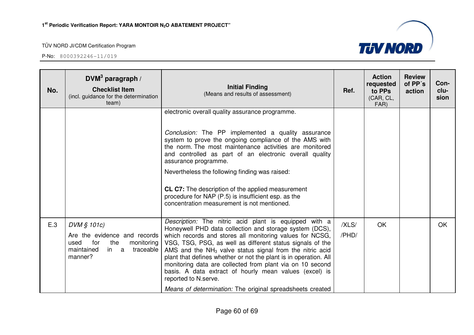

| No. | DVM <sup>3</sup> paragraph /<br><b>Checklist Item</b><br>(incl. guidance for the determination<br>team)                       | <b>Initial Finding</b><br>(Means and results of assessment)                                                                                                                                                                                                                                                                                                                                                                                                                                                                                                                             | Ref.           | <b>Action</b><br>requested<br>to PPs<br>(CAR, CL,<br>FAR) | <b>Review</b><br>of PP's<br>action | Con-<br>clu-<br>sion |
|-----|-------------------------------------------------------------------------------------------------------------------------------|-----------------------------------------------------------------------------------------------------------------------------------------------------------------------------------------------------------------------------------------------------------------------------------------------------------------------------------------------------------------------------------------------------------------------------------------------------------------------------------------------------------------------------------------------------------------------------------------|----------------|-----------------------------------------------------------|------------------------------------|----------------------|
|     |                                                                                                                               | electronic overall quality assurance programme.<br>Conclusion: The PP implemented a quality assurance<br>system to prove the ongoing compliance of the AMS with<br>the norm. The most maintenance activities are monitored<br>and controlled as part of an electronic overall quality<br>assurance programme.<br>Nevertheless the following finding was raised:<br>CL C7: The description of the applied measurement<br>procedure for NAP (P.5) is insufficient esp. as the<br>concentration measurement is not mentioned.                                                              |                |                                                           |                                    |                      |
| E.3 | DVM § 101c)<br>Are the evidence and records<br>for<br>the<br>used<br>monitoring<br>maintained<br>traceable<br>in a<br>manner? | Description: The nitric acid plant is equipped with a<br>Honeywell PHD data collection and storage system (DCS),<br>which records and stores all monitoring values for NCSG,<br>VSG, TSG, PSG, as well as different status signals of the<br>AMS and the $NH3$ valve status signal from the nitric acid<br>plant that defines whether or not the plant is in operation. All<br>monitoring data are collected from plant via on 10 second<br>basis. A data extract of hourly mean values (excel) is<br>reported to N.serve.<br>Means of determination: The original spreadsheets created | /XLS/<br>/PHD/ | OK                                                        |                                    | <b>OK</b>            |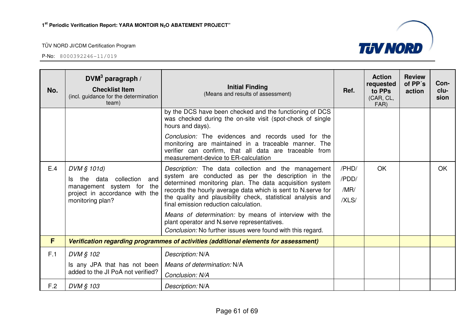

| No. | DVM <sup>3</sup> paragraph /<br><b>Checklist Item</b><br>(incl. guidance for the determination<br>team) | <b>Initial Finding</b><br>(Means and results of assessment)                                                                                                                                                  | Ref.          | <b>Action</b><br>requested<br>to PPs<br>(CAR, CL,<br>FAR) | <b>Review</b><br>of PP's<br>action | Con-<br>clu-<br>sion |
|-----|---------------------------------------------------------------------------------------------------------|--------------------------------------------------------------------------------------------------------------------------------------------------------------------------------------------------------------|---------------|-----------------------------------------------------------|------------------------------------|----------------------|
|     |                                                                                                         | by the DCS have been checked and the functioning of DCS<br>was checked during the on-site visit (spot-check of single<br>hours and days).                                                                    |               |                                                           |                                    |                      |
|     |                                                                                                         | Conclusion: The evidences and records used for the<br>monitoring are maintained in a traceable manner. The<br>verifier can confirm, that all data are traceable from<br>measurement-device to ER-calculation |               |                                                           |                                    |                      |
| E.4 | DVM § 101d)                                                                                             | Description: The data collection and the management                                                                                                                                                          | /PHD/         | OK                                                        |                                    | OK                   |
|     | collection and<br>data<br>the<br>Is.<br>management system for the                                       | system are conducted as per the description in the<br>determined monitoring plan. The data acquisition system                                                                                                | /PDD/         |                                                           |                                    |                      |
|     | project in accordance with the<br>monitoring plan?                                                      | records the hourly average data which is sent to N.serve for<br>the quality and plausibility check, statistical analysis and<br>final emission reduction calculation.                                        | /MR/<br>/XLS/ |                                                           |                                    |                      |
|     |                                                                                                         | Means of determination: by means of interview with the<br>plant operator and N.serve representatives.<br>Conclusion: No further issues were found with this regard.                                          |               |                                                           |                                    |                      |
| F   |                                                                                                         | Verification regarding programmes of activities (additional elements for assessment)                                                                                                                         |               |                                                           |                                    |                      |
| F.1 | DVM § 102                                                                                               | Description: N/A                                                                                                                                                                                             |               |                                                           |                                    |                      |
|     | Is any JPA that has not been<br>added to the JI PoA not verified?                                       | Means of determination: N/A                                                                                                                                                                                  |               |                                                           |                                    |                      |
|     |                                                                                                         | Conclusion: N/A                                                                                                                                                                                              |               |                                                           |                                    |                      |
| F.2 | DVM § 103                                                                                               | Description: N/A                                                                                                                                                                                             |               |                                                           |                                    |                      |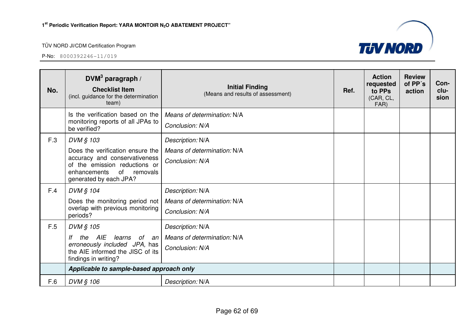

| No. | DVM <sup>3</sup> paragraph /<br><b>Checklist Item</b><br>(incl. guidance for the determination<br>team)                                                                  | <b>Initial Finding</b><br>(Means and results of assessment)        | Ref. | <b>Action</b><br>requested<br>to PPs<br>(CAR, CL,<br>FAR) | <b>Review</b><br>of PP's<br>action | Con-<br>clu-<br>sion |
|-----|--------------------------------------------------------------------------------------------------------------------------------------------------------------------------|--------------------------------------------------------------------|------|-----------------------------------------------------------|------------------------------------|----------------------|
|     | Is the verification based on the<br>monitoring reports of all JPAs to<br>be verified?                                                                                    | Means of determination: N/A<br>Conclusion: N/A                     |      |                                                           |                                    |                      |
| F.3 | DVM § 103<br>Does the verification ensure the<br>accuracy and conservativeness<br>of the emission reductions or<br>of removals<br>enhancements<br>generated by each JPA? | Description: N/A<br>Means of determination: N/A<br>Conclusion: N/A |      |                                                           |                                    |                      |
| F.4 | DVM § 104<br>Does the monitoring period not<br>overlap with previous monitoring<br>periods?                                                                              | Description: N/A<br>Means of determination: N/A<br>Conclusion: N/A |      |                                                           |                                    |                      |
| F.5 | DVM § 105<br>AIE<br>learns<br>of an<br>lf<br>the<br>erroneously included JPA, has<br>the AIE informed the JISC of its<br>findings in writing?                            | Description: N/A<br>Means of determination: N/A<br>Conclusion: N/A |      |                                                           |                                    |                      |
|     | Applicable to sample-based approach only                                                                                                                                 |                                                                    |      |                                                           |                                    |                      |
| F.6 | DVM § 106                                                                                                                                                                | Description: N/A                                                   |      |                                                           |                                    |                      |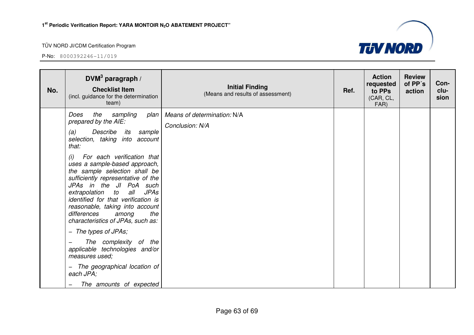

| No. | DVM <sup>3</sup> paragraph /<br><b>Checklist Item</b><br>(incl. guidance for the determination<br>team)                                                                                                                                                                                                                                                                                                                                                                                                                                                                                                                                                            | <b>Initial Finding</b><br>(Means and results of assessment) | Ref. | <b>Action</b><br>requested<br>to PPs<br>(CAR, CL,<br>FAR) | <b>Review</b><br>of PP's<br>action | Con-<br>clu-<br>sion |
|-----|--------------------------------------------------------------------------------------------------------------------------------------------------------------------------------------------------------------------------------------------------------------------------------------------------------------------------------------------------------------------------------------------------------------------------------------------------------------------------------------------------------------------------------------------------------------------------------------------------------------------------------------------------------------------|-------------------------------------------------------------|------|-----------------------------------------------------------|------------------------------------|----------------------|
|     | Does<br>the<br>sampling<br>plan<br>prepared by the AIE:<br>Describe<br>sample<br>(a)<br>its<br>selection, taking into account<br>that:<br>For each verification that<br>(i)<br>uses a sample-based approach,<br>the sample selection shall be<br>sufficiently representative of the<br>JPAs in the JI PoA such<br>extrapolation<br>to<br>all<br><b>JPAs</b><br>identified for that verification is<br>reasonable, taking into account<br>differences<br>the<br>among<br>characteristics of JPAs, such as:<br>- The types of JPAs;<br>The complexity of the<br>applicable technologies and/or<br>measures used;<br>The geographical location of<br>$-$<br>each JPA; | Means of determination: N/A<br>Conclusion: N/A              |      |                                                           |                                    |                      |
|     | The amounts of expected<br>$\qquad \qquad -$                                                                                                                                                                                                                                                                                                                                                                                                                                                                                                                                                                                                                       |                                                             |      |                                                           |                                    |                      |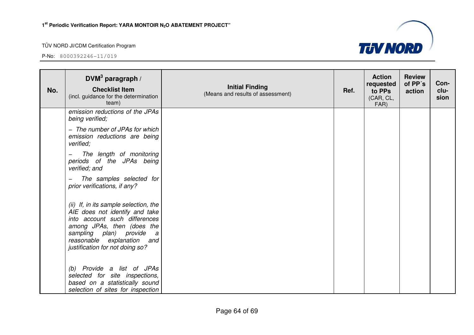

| No. | DVM <sup>3</sup> paragraph /<br><b>Checklist Item</b><br>(incl. guidance for the determination<br>team)                                                                                                                                             | <b>Initial Finding</b><br>(Means and results of assessment) | Ref. | <b>Action</b><br>requested<br>to PPs<br>(CAR, CL,<br>FAR) | <b>Review</b><br>of PP's<br>action | Con-<br>clu-<br>sion |
|-----|-----------------------------------------------------------------------------------------------------------------------------------------------------------------------------------------------------------------------------------------------------|-------------------------------------------------------------|------|-----------------------------------------------------------|------------------------------------|----------------------|
|     | emission reductions of the JPAs<br>being verified;                                                                                                                                                                                                  |                                                             |      |                                                           |                                    |                      |
|     | - The number of JPAs for which<br>emission reductions are being<br>verified;                                                                                                                                                                        |                                                             |      |                                                           |                                    |                      |
|     | The length of monitoring<br>periods of the JPAs being<br>verified; and                                                                                                                                                                              |                                                             |      |                                                           |                                    |                      |
|     | The samples selected for<br>prior verifications, if any?                                                                                                                                                                                            |                                                             |      |                                                           |                                    |                      |
|     | (ii) If, in its sample selection, the<br>AIE does not identify and take<br>into account such differences<br>among JPAs, then (does the<br>sampling plan) provide<br>$\overline{a}$<br>reasonable explanation and<br>justification for not doing so? |                                                             |      |                                                           |                                    |                      |
|     | (b) Provide a list of JPAs<br>selected for site inspections,<br>based on a statistically sound<br>selection of sites for inspection                                                                                                                 |                                                             |      |                                                           |                                    |                      |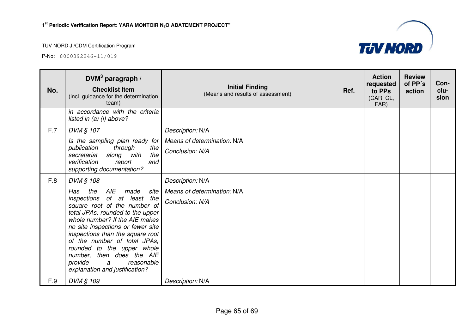

| No. | DVM <sup>3</sup> paragraph /<br><b>Checklist Item</b><br>(incl. guidance for the determination<br>team)                                                                                                                                                                                                                                                                                                                           | <b>Initial Finding</b><br>(Means and results of assessment)        | Ref. | <b>Action</b><br>requested<br>to PPs<br>(CAR, CL,<br>FAR) | <b>Review</b><br>of PP's<br>action | Con-<br>clu-<br>sion |
|-----|-----------------------------------------------------------------------------------------------------------------------------------------------------------------------------------------------------------------------------------------------------------------------------------------------------------------------------------------------------------------------------------------------------------------------------------|--------------------------------------------------------------------|------|-----------------------------------------------------------|------------------------------------|----------------------|
|     | in accordance with the criteria<br>listed in $(a)$ (i) above?                                                                                                                                                                                                                                                                                                                                                                     |                                                                    |      |                                                           |                                    |                      |
| F.7 | DVM § 107<br>Is the sampling plan ready for<br>through<br>publication<br>the<br>along with<br>the<br>secretariat<br>verification<br>report<br>and<br>supporting documentation?                                                                                                                                                                                                                                                    | Description: N/A<br>Means of determination: N/A<br>Conclusion: N/A |      |                                                           |                                    |                      |
| F.8 | DVM § 108<br>AIE<br>Has<br>the<br>made site<br>inspections of at least the<br>square root of the number of<br>total JPAs, rounded to the upper<br>whole number? If the AIE makes<br>no site inspections or fewer site<br>inspections than the square root<br>of the number of total JPAs,<br>rounded to the upper whole<br>number, then does the AIE<br>provide<br>reasonable<br>$\overline{a}$<br>explanation and justification? | Description: N/A<br>Means of determination: N/A<br>Conclusion: N/A |      |                                                           |                                    |                      |
| F.9 | DVM § 109                                                                                                                                                                                                                                                                                                                                                                                                                         | Description: N/A                                                   |      |                                                           |                                    |                      |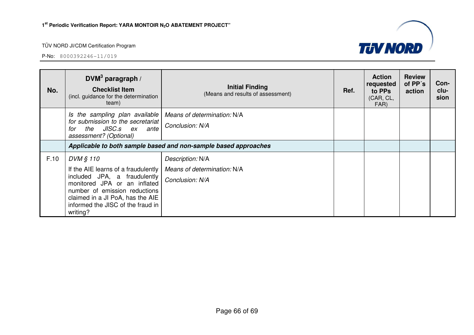

| No.  | DVM <sup>3</sup> paragraph /<br><b>Checklist Item</b><br>(incl. guidance for the determination<br>team)                                                                                                                                | <b>Initial Finding</b><br>(Means and results of assessment)        | Ref. | <b>Action</b><br>requested<br>to PPs<br>(CAR, CL,<br>FAR) | <b>Review</b><br>of PP's<br>action | Con-<br>clu-<br>sion |
|------|----------------------------------------------------------------------------------------------------------------------------------------------------------------------------------------------------------------------------------------|--------------------------------------------------------------------|------|-----------------------------------------------------------|------------------------------------|----------------------|
|      | Is the sampling plan available<br>for submission to the secretariat<br>the JISC.s ex<br>ante<br>for<br>assessment? (Optional)                                                                                                          | Means of determination: N/A<br>Conclusion: N/A                     |      |                                                           |                                    |                      |
|      |                                                                                                                                                                                                                                        | Applicable to both sample based and non-sample based approaches    |      |                                                           |                                    |                      |
| F.10 | DVM § 110<br>If the AIE learns of a fraudulently<br>included JPA, a fraudulently<br>monitored JPA or an inflated<br>number of emission reductions<br>claimed in a JI PoA, has the AIE<br>informed the JISC of the fraud in<br>writing? | Description: N/A<br>Means of determination: N/A<br>Conclusion: N/A |      |                                                           |                                    |                      |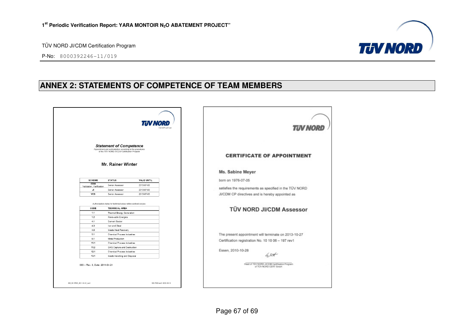



# **ANNEX 2: STATEMENTS OF COMPETENCE OF TEAM MEMBERS**

| <b>Statement of Competence</b><br>Appointment and authorization according to the procedures<br>of the TÜV NORD JI/CDM Certification Program<br><b>CERTIFICATE OF APPOINTMENT</b><br>Mr. Rainer Winter<br>Ms. Sabine Meyer<br><b>SCHEME</b><br><b>STATUS</b><br>VALID UNTIL<br>born on 1976-07-05<br>CDM<br>Senior Assessor<br>2013-07-03<br>Validation, Verification<br>satisfies the requirements as specified in the TÚV NORD<br>JI<br>2013-07-03 |  |
|-----------------------------------------------------------------------------------------------------------------------------------------------------------------------------------------------------------------------------------------------------------------------------------------------------------------------------------------------------------------------------------------------------------------------------------------------------|--|
|                                                                                                                                                                                                                                                                                                                                                                                                                                                     |  |
|                                                                                                                                                                                                                                                                                                                                                                                                                                                     |  |
|                                                                                                                                                                                                                                                                                                                                                                                                                                                     |  |
|                                                                                                                                                                                                                                                                                                                                                                                                                                                     |  |
| Senior Assessor                                                                                                                                                                                                                                                                                                                                                                                                                                     |  |
| <b>VCS</b><br>2013-07-03<br>JI/CDM CP directives and is hereby appointed as<br>Senior Assessor                                                                                                                                                                                                                                                                                                                                                      |  |
| TÜV NORD JI/CDM Assessor<br>CODE<br><b>TECHNICAL AREA</b><br>1.1<br>Thermal Energy Generation                                                                                                                                                                                                                                                                                                                                                       |  |
| 1.2<br>Renewable Energies                                                                                                                                                                                                                                                                                                                                                                                                                           |  |
| 4.1<br>Cement Sector                                                                                                                                                                                                                                                                                                                                                                                                                                |  |
| 4.3<br>Iron and Steel                                                                                                                                                                                                                                                                                                                                                                                                                               |  |
|                                                                                                                                                                                                                                                                                                                                                                                                                                                     |  |
| 4.5<br>Waste Heat Recovery                                                                                                                                                                                                                                                                                                                                                                                                                          |  |
| 5.1<br>Chemical Process Industries<br>The present appointment will terminate on 2013-10-27                                                                                                                                                                                                                                                                                                                                                          |  |
| Metal Production<br>9.1<br>Certification registration No. 10 10 06 - 197 rev1                                                                                                                                                                                                                                                                                                                                                                       |  |
| 11.1<br>Chemical Process Industries                                                                                                                                                                                                                                                                                                                                                                                                                 |  |
| 11.2<br>GHG Capture and Destruction<br>Essen, 2010-10-28<br>12.1<br>Chemical Process Industries                                                                                                                                                                                                                                                                                                                                                     |  |
|                                                                                                                                                                                                                                                                                                                                                                                                                                                     |  |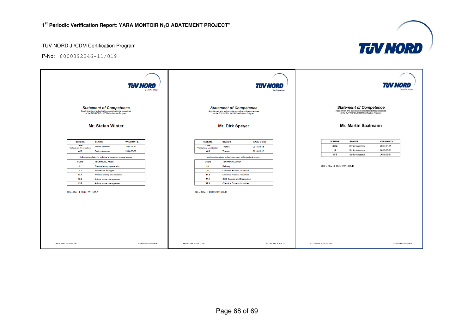

|                                        |                                                                                                                                             | <b>TUV NORD</b>          | Certification              |                              |                                        |                                                                                                                                             | TUV NORD                 | Certification              |                                |                                                                                                                                                                                                                   |                            |
|----------------------------------------|---------------------------------------------------------------------------------------------------------------------------------------------|--------------------------|----------------------------|------------------------------|----------------------------------------|---------------------------------------------------------------------------------------------------------------------------------------------|--------------------------|----------------------------|--------------------------------|-------------------------------------------------------------------------------------------------------------------------------------------------------------------------------------------------------------------|----------------------------|
|                                        | <b>Statement of Competence</b><br>Appointment and authorization according to the procedures<br>of the TÜV NORD JI/CDM Certification Program |                          |                            |                              |                                        | <b>Statement of Competence</b><br>Appointment and authorization according to the procedures<br>of the TÜV NORD JI/CDM Certification Program |                          |                            |                                | $\begin{array}{c} \textbf{Statement~on} \textbf{component~of} \textbf{Competence} \\ \textbf{Appolitment~and~autbortization according to the procedures of the TUV NORD JUCDM Certification Program} \end{array}$ |                            |
|                                        | <b>Mr. Stefan Winter</b>                                                                                                                    |                          |                            |                              |                                        | Mr. Dirk Speyer                                                                                                                             |                          |                            |                                | <b>Mr. Martin Saalmann</b>                                                                                                                                                                                        |                            |
|                                        |                                                                                                                                             |                          |                            |                              |                                        |                                                                                                                                             |                          |                            | <b>SCHEME</b>                  | <b>STATUS</b>                                                                                                                                                                                                     | <b>VALID UNTIL</b>         |
| <b>SCHEME</b><br>CDM                   | <b>STATUS</b>                                                                                                                               | <b>VALID UNTIL</b>       |                            |                              | <b>SCHEME</b><br><b>CDM</b>            | <b>STATUS</b>                                                                                                                               | <b>VALID UNTIL</b>       |                            | <b>CDM</b>                     | Senior Assessor                                                                                                                                                                                                   | 2013-03-31                 |
| Validation, Verification<br><b>VCS</b> | <b>Senior Assessor</b><br><b>Senior Assessor</b>                                                                                            | 2014-06-30<br>2014-06-30 |                            |                              | Validation, Verification<br><b>VCS</b> | Trainee<br>Trainee                                                                                                                          | 2014-06-16<br>2014-06-16 |                            | JI                             | Senior Assessor                                                                                                                                                                                                   | 2013-03-31                 |
|                                        |                                                                                                                                             |                          |                            |                              |                                        |                                                                                                                                             |                          |                            | <b>VCS</b>                     | Senior Assessor                                                                                                                                                                                                   | 2013-03-31                 |
|                                        | Authorization status for technical areas within sectoral scopes:                                                                            |                          |                            |                              |                                        | Authorization status for technical areas within sectoral scopes:                                                                            |                          |                            |                                |                                                                                                                                                                                                                   |                            |
| <b>CODE</b>                            | <b>TECHNICAL AREA</b>                                                                                                                       |                          |                            |                              | <b>CODE</b>                            | <b>TECHNICAL AREA</b>                                                                                                                       |                          |                            |                                |                                                                                                                                                                                                                   |                            |
| 1.1                                    | Thermal energy generation                                                                                                                   |                          |                            |                              | 4.4                                    | Refinery                                                                                                                                    |                          |                            | 022 - Rev. 0, Date: 2011-03-17 |                                                                                                                                                                                                                   |                            |
| 1.2<br>13.1                            | <b>Renewable Energies</b>                                                                                                                   |                          |                            |                              | 5.1<br>11.1                            | <b>Chemical Process Industries</b><br><b>Chemical Process Industries</b>                                                                    |                          |                            |                                |                                                                                                                                                                                                                   |                            |
| 13.2                                   | Waste handling and disposal<br>Animal waste management                                                                                      |                          |                            |                              | 11.2                                   | GHG Capture and Destruction                                                                                                                 |                          |                            |                                |                                                                                                                                                                                                                   |                            |
| 15.2                                   | Animal waste management                                                                                                                     |                          |                            |                              | 12.1                                   | <b>Chemical Process Industries</b>                                                                                                          |                          |                            |                                |                                                                                                                                                                                                                   |                            |
| 163 - Rev. 1, Date: 2011-07-01         |                                                                                                                                             |                          |                            |                              | 244 - Rev. 1, Date: 2011-06-17         |                                                                                                                                             |                          |                            |                                |                                                                                                                                                                                                                   |                            |
| 163_S01-F003_2011-07-01_rev1           |                                                                                                                                             |                          | SD1-F003 rev0 / 2010-04-19 | 244_601-F003_2011-06-17_rev1 |                                        |                                                                                                                                             |                          | S01-F003 rev0 / 2010-04-19 | 022 S01-F003_2011-03-17_rev0   |                                                                                                                                                                                                                   | S01-F003 rev0 / 2010-04-19 |